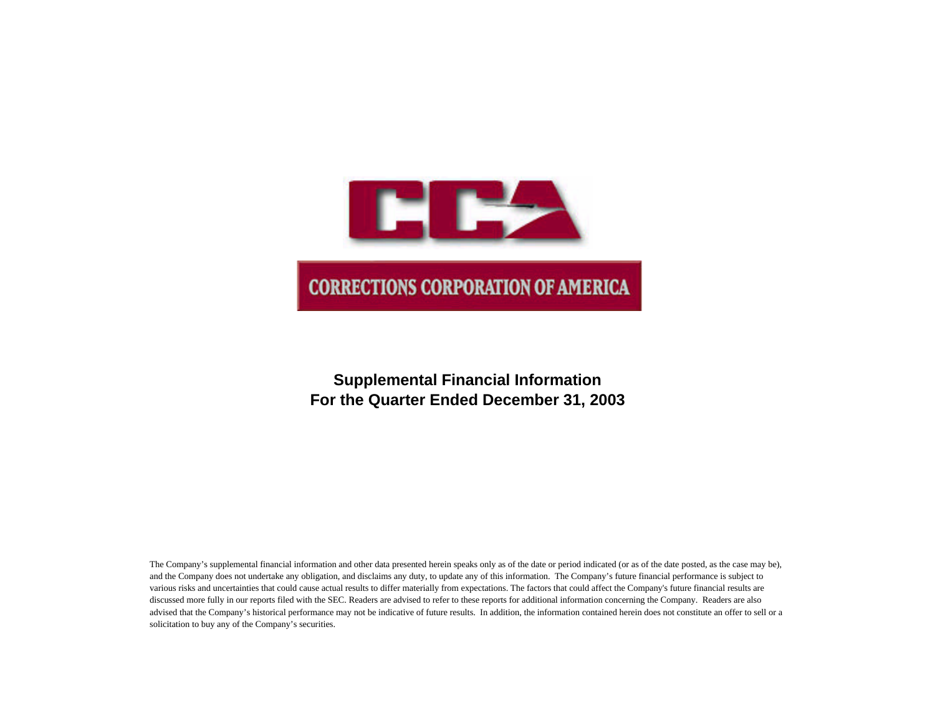

# **Supplemental Financial Information For the Quarter Ended December 31, 2003**

The Company's supplemental financial information and other data presented herein speaks only as of the date or period indicated (or as of the date posted, as the case may be), and the Company does not undertake any obligation, and disclaims any duty, to update any of this information. The Company's future financial performance is subject to various risks and uncertainties that could cause actual results to differ materially from expectations. The factors that could affect the Company's future financial results are discussed more fully in our reports filed with the SEC. Readers are advised to refer to these reports for additional information concerning the Company. Readers are also advised that the Company's historical performance may not be indicative of future results. In addition, the information contained herein does not constitute an offer to sell or a solicitation to buy any of the Company's securities.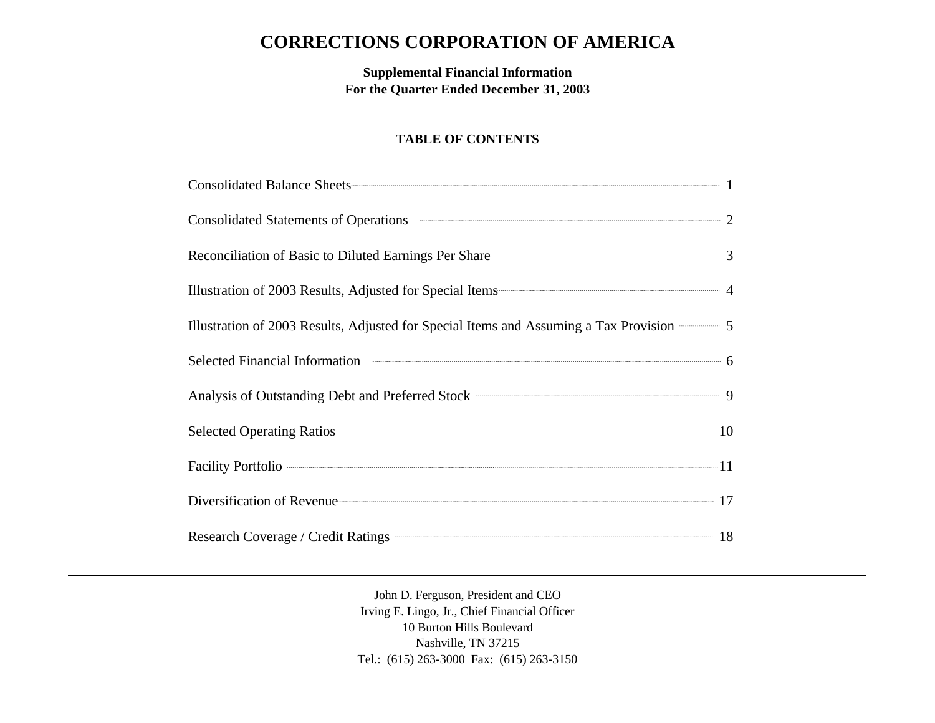# **CORRECTIONS CORPORATION OF AMERICA**

**Supplemental Financial Information For the Quarter Ended December 31, 2003**

# **TABLE OF CONTENTS**

| Consolidated Balance Sheets 1                                                                                                                                                                                                        |  |
|--------------------------------------------------------------------------------------------------------------------------------------------------------------------------------------------------------------------------------------|--|
| Consolidated Statements of Operations <b>CONSOLIDATE:</b> 2                                                                                                                                                                          |  |
| Reconciliation of Basic to Diluted Earnings Per Share <b>Constanting Server Share</b> 3                                                                                                                                              |  |
| Illustration of 2003 Results, Adjusted for Special Items 4                                                                                                                                                                           |  |
| Illustration of 2003 Results, Adjusted for Special Items and Assuming a Tax Provision <b>SECON</b> 5                                                                                                                                 |  |
| Selected Financial Information <b>Constanting Constanting Constanting Constanting Constanting Constanting Constanting Constanting Constanting Constanting Constanting Constanting Constanting Constanting Constanting Constantin</b> |  |
| Analysis of Outstanding Debt and Preferred Stock <b>CONSUMER 2006</b> 2014                                                                                                                                                           |  |
| Selected Operating Ratios 2016 and 2017 10                                                                                                                                                                                           |  |
|                                                                                                                                                                                                                                      |  |
| Diversification of Revenue 17                                                                                                                                                                                                        |  |
|                                                                                                                                                                                                                                      |  |

John D. Ferguson, President and CEO Irving E. Lingo, Jr., Chief Financial Officer 10 Burton Hills Boulevard Nashville, TN 37215 Tel.: (615) 263-3000 Fax: (615) 263-3150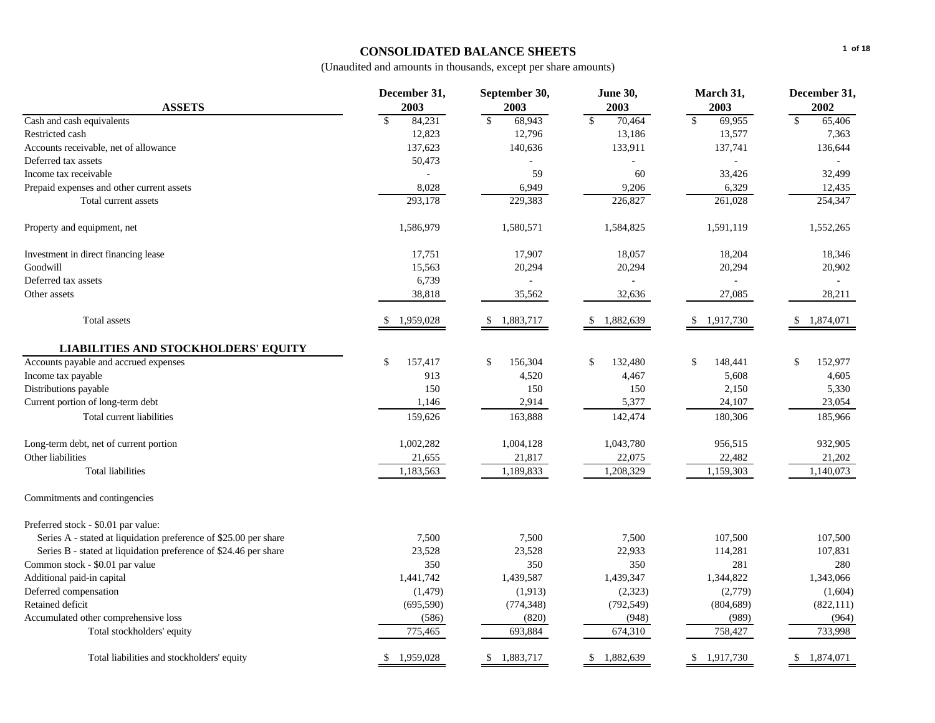# **CONSOLIDATED BALANCE SHEETS**

|                                                                  | December 31,            | September 30,          | <b>June 30,</b>           | March 31,                    |                           |  |
|------------------------------------------------------------------|-------------------------|------------------------|---------------------------|------------------------------|---------------------------|--|
| <b>ASSETS</b>                                                    | 2003                    | 2003                   | 2003                      | 2003                         | 2002                      |  |
| Cash and cash equivalents                                        | $\mathsf{\$}$<br>84,231 | $\mathbb{S}$<br>68,943 | $\mathbb{S}$<br>70,464    | $\mathbf{\hat{S}}$<br>69,955 | $\mathbb{S}$<br>65,406    |  |
| Restricted cash                                                  | 12,823                  | 12,796                 | 13,186                    | 13,577                       | 7,363                     |  |
| Accounts receivable, net of allowance                            | 137,623                 | 140,636                | 133,911                   | 137,741                      | 136,644                   |  |
| Deferred tax assets                                              | 50,473                  |                        | $\mathbf{r}$              |                              |                           |  |
| Income tax receivable                                            |                         | 59                     | 60                        | 33,426                       | 32,499                    |  |
| Prepaid expenses and other current assets                        | 8,028                   | 6,949                  | 9,206                     | 6,329                        | 12,435                    |  |
| Total current assets                                             | 293,178                 | 229,383                | 226,827                   | 261,028                      | 254,347                   |  |
| Property and equipment, net                                      | 1,586,979               | 1,580,571              | 1,584,825                 | 1,591,119                    | 1,552,265                 |  |
| Investment in direct financing lease                             | 17,751                  | 17,907                 | 18,057                    | 18,204                       | 18,346                    |  |
| Goodwill                                                         | 15,563                  | 20,294                 | 20,294                    | 20,294                       | 20,902                    |  |
| Deferred tax assets                                              | 6,739                   |                        | $\sim$                    |                              |                           |  |
| Other assets                                                     | 38,818                  | 35,562                 | 32,636                    | 27,085                       | 28,211                    |  |
| Total assets                                                     | 1,959,028<br>S.         | 1,883,717<br>-S        | 1,882,639<br>\$           | 1,917,730                    | 1,874,071<br>\$           |  |
| <b>LIABILITIES AND STOCKHOLDERS' EQUITY</b>                      |                         |                        |                           |                              |                           |  |
| Accounts payable and accrued expenses                            | \$<br>157,417           | \$<br>156,304          | $\mathbb{S}$<br>132,480   | 148,441<br>\$                | \$<br>152,977             |  |
| Income tax payable                                               | 913                     | 4,520                  | 4,467                     | 5,608                        | 4,605                     |  |
| Distributions payable                                            | 150                     | 150                    | 150                       | 2,150                        | 5,330                     |  |
| Current portion of long-term debt                                | 1,146                   | 2,914                  | 5,377                     | 24,107                       | 23,054                    |  |
| Total current liabilities                                        | 159,626                 | 163,888                | 142,474                   | 180,306                      | 185,966                   |  |
| Long-term debt, net of current portion                           | 1,002,282               | 1,004,128              | 1,043,780                 | 956,515                      | 932,905                   |  |
| Other liabilities                                                | 21,655                  | 21,817                 | 22,075                    | 22,482                       | 21,202                    |  |
| <b>Total liabilities</b>                                         | 1,183,563               | 1,189,833              | 1,208,329                 | 1,159,303                    | 1,140,073                 |  |
| Commitments and contingencies                                    |                         |                        |                           |                              |                           |  |
| Preferred stock - \$0.01 par value:                              |                         |                        |                           |                              |                           |  |
| Series A - stated at liquidation preference of \$25.00 per share | 7,500                   | 7,500                  | 7,500                     | 107,500                      | 107,500                   |  |
| Series B - stated at liquidation preference of \$24.46 per share | 23,528                  | 23,528                 | 22,933                    | 114,281                      | 107,831                   |  |
| Common stock - \$0.01 par value                                  | 350                     | 350                    | 350                       | 281                          | 280                       |  |
| Additional paid-in capital                                       | 1,441,742               | 1,439,587              | 1,439,347                 | 1,344,822                    | 1,343,066                 |  |
| Deferred compensation                                            | (1, 479)                | (1, 913)               | (2,323)                   | (2,779)                      | (1,604)                   |  |
| Retained deficit                                                 | (695, 590)              | (774, 348)             | (792, 549)                | (804, 689)                   | (822, 111)                |  |
| Accumulated other comprehensive loss                             | (586)                   | (820)                  | (948)                     | (989)                        | (964)                     |  |
| Total stockholders' equity                                       | 775,465                 | 693,884                | 674,310                   | 758,427                      | 733,998                   |  |
| Total liabilities and stockholders' equity                       | 1,959,028<br>S.         | 1,883,717<br>\$        | $\mathbb{S}$<br>1,882,639 | 1,917,730<br>\$              | 1,874,071<br>$\mathbb{S}$ |  |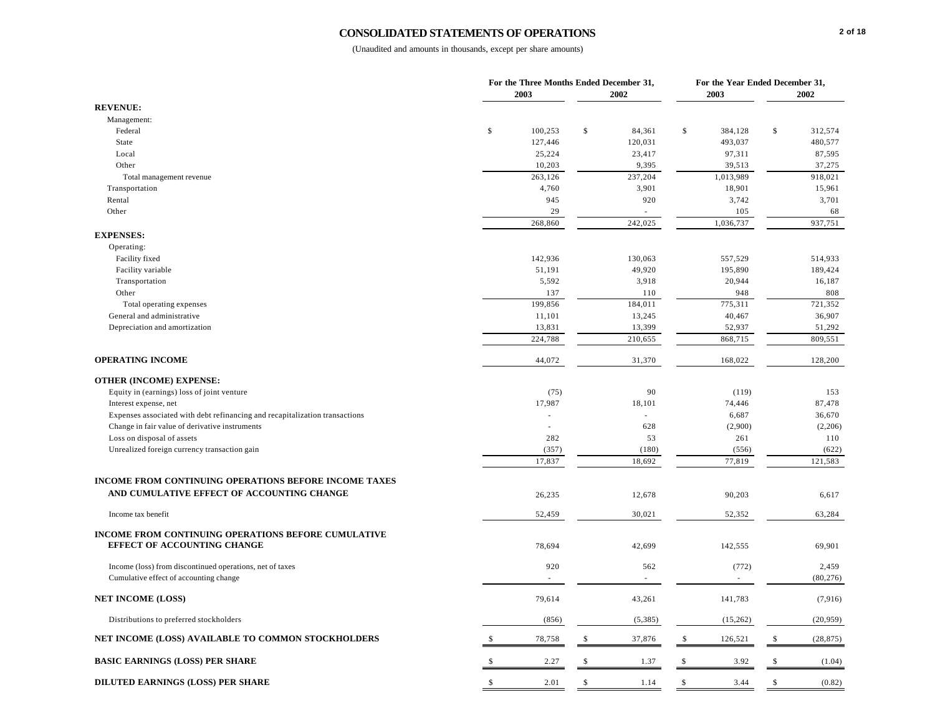# **CONSOLIDATED STATEMENTS OF OPERATIONS**

|                                                                             |              | For the Three Months Ended December 31,<br>2003 | 2002         |              | For the Year Ended December 31,<br>2003 |               | 2002      |
|-----------------------------------------------------------------------------|--------------|-------------------------------------------------|--------------|--------------|-----------------------------------------|---------------|-----------|
| <b>REVENUE:</b>                                                             |              |                                                 |              |              |                                         |               |           |
| Management:                                                                 |              |                                                 |              |              |                                         |               |           |
| Federal                                                                     | $\$$         | 100,253                                         | \$<br>84,361 | $\mathbb{S}$ | 384,128                                 | \$            | 312,574   |
| State                                                                       |              | 127,446                                         | 120,031      |              | 493,037                                 |               | 480,577   |
| Local                                                                       |              | 25,224                                          | 23,417       |              | 97,311                                  |               | 87,595    |
| Other                                                                       |              | 10,203                                          | 9,395        |              | 39,513                                  |               | 37,275    |
| Total management revenue                                                    |              | 263,126                                         | 237,204      |              | 1,013,989                               |               | 918,021   |
| Transportation                                                              |              | 4,760                                           | 3,901        |              | 18,901                                  |               | 15,961    |
| Rental                                                                      |              | 945                                             | 920          |              | 3,742                                   |               | 3,701     |
| Other                                                                       |              | 29                                              | ä,           |              | 105                                     |               | 68        |
|                                                                             |              | 268,860                                         | 242,025      |              | 1,036,737                               |               | 937,751   |
| <b>EXPENSES:</b>                                                            |              |                                                 |              |              |                                         |               |           |
| Operating:                                                                  |              |                                                 |              |              |                                         |               |           |
| Facility fixed                                                              |              | 142,936                                         | 130,063      |              | 557,529                                 |               | 514,933   |
| Facility variable                                                           |              | 51,191                                          | 49,920       |              | 195,890                                 |               | 189,424   |
| Transportation                                                              |              | 5,592                                           | 3,918        |              | 20,944                                  |               | 16,187    |
| Other                                                                       |              | 137                                             | 110          |              | 948                                     |               | 808       |
| Total operating expenses                                                    |              | 199,856                                         | 184,011      |              | 775,311                                 |               | 721,352   |
| General and administrative                                                  |              | 11,101                                          | 13,245       |              | 40,467                                  |               | 36,907    |
| Depreciation and amortization                                               |              | 13,831                                          | 13,399       |              | 52,937                                  |               | 51,292    |
|                                                                             |              | 224,788                                         | 210,655      |              | 868,715                                 |               | 809,551   |
|                                                                             |              |                                                 |              |              |                                         |               |           |
| <b>OPERATING INCOME</b>                                                     |              | 44,072                                          | 31,370       |              | 168,022                                 |               | 128,200   |
| <b>OTHER (INCOME) EXPENSE:</b>                                              |              |                                                 |              |              |                                         |               |           |
|                                                                             |              | (75)                                            | 90           |              | (119)                                   |               | 153       |
| Equity in (earnings) loss of joint venture                                  |              | 17,987                                          | 18,101       |              | 74,446                                  |               | 87,478    |
| Interest expense, net                                                       |              |                                                 |              |              | 6,687                                   |               | 36,670    |
| Expenses associated with debt refinancing and recapitalization transactions |              | ä,                                              | 628          |              | (2,900)                                 |               | (2,206)   |
| Change in fair value of derivative instruments                              |              |                                                 |              |              |                                         |               |           |
| Loss on disposal of assets                                                  |              | 282                                             | 53           |              | 261                                     |               | 110       |
| Unrealized foreign currency transaction gain                                |              | (357)                                           | (180)        |              | (556)                                   |               | (622)     |
|                                                                             |              | 17,837                                          | 18,692       |              | 77,819                                  |               | 121,583   |
| INCOME FROM CONTINUING OPERATIONS BEFORE INCOME TAXES                       |              |                                                 |              |              |                                         |               |           |
| AND CUMULATIVE EFFECT OF ACCOUNTING CHANGE                                  |              | 26,235                                          | 12,678       |              | 90,203                                  |               | 6,617     |
|                                                                             |              |                                                 |              |              |                                         |               |           |
| Income tax benefit                                                          |              | 52,459                                          | 30,021       |              | 52,352                                  |               | 63,284    |
|                                                                             |              |                                                 |              |              |                                         |               |           |
| <b>INCOME FROM CONTINUING OPERATIONS BEFORE CUMULATIVE</b>                  |              |                                                 |              |              |                                         |               |           |
| EFFECT OF ACCOUNTING CHANGE                                                 |              | 78,694                                          | 42,699       |              | 142,555                                 |               | 69,901    |
|                                                                             |              |                                                 |              |              |                                         |               |           |
| Income (loss) from discontinued operations, net of taxes                    |              | 920                                             | 562          |              | (772)                                   |               | 2,459     |
| Cumulative effect of accounting change                                      |              | ÷,                                              | L,           |              | $\overline{\phantom{a}}$                |               | (80, 276) |
|                                                                             |              |                                                 |              |              |                                         |               |           |
| <b>NET INCOME (LOSS)</b>                                                    |              | 79,614                                          | 43,261       |              | 141,783                                 |               | (7, 916)  |
| Distributions to preferred stockholders                                     |              | (856)                                           | (5,385)      |              | (15,262)                                |               | (20, 959) |
| NET INCOME (LOSS) AVAILABLE TO COMMON STOCKHOLDERS                          | $\mathbb{S}$ | 78,758                                          | \$<br>37,876 | $\mathbb{S}$ | 126,521                                 | \$            | (28, 875) |
| <b>BASIC EARNINGS (LOSS) PER SHARE</b>                                      | \$           | 2.27                                            | \$<br>1.37   | \$           | 3.92                                    | $\mathcal{S}$ | (1.04)    |
| <b>DILUTED EARNINGS (LOSS) PER SHARE</b>                                    | $\mathbb{S}$ | 2.01                                            | \$<br>1.14   | $\mathbb{S}$ | 3.44                                    | \$            | (0.82)    |
|                                                                             |              |                                                 |              |              |                                         |               |           |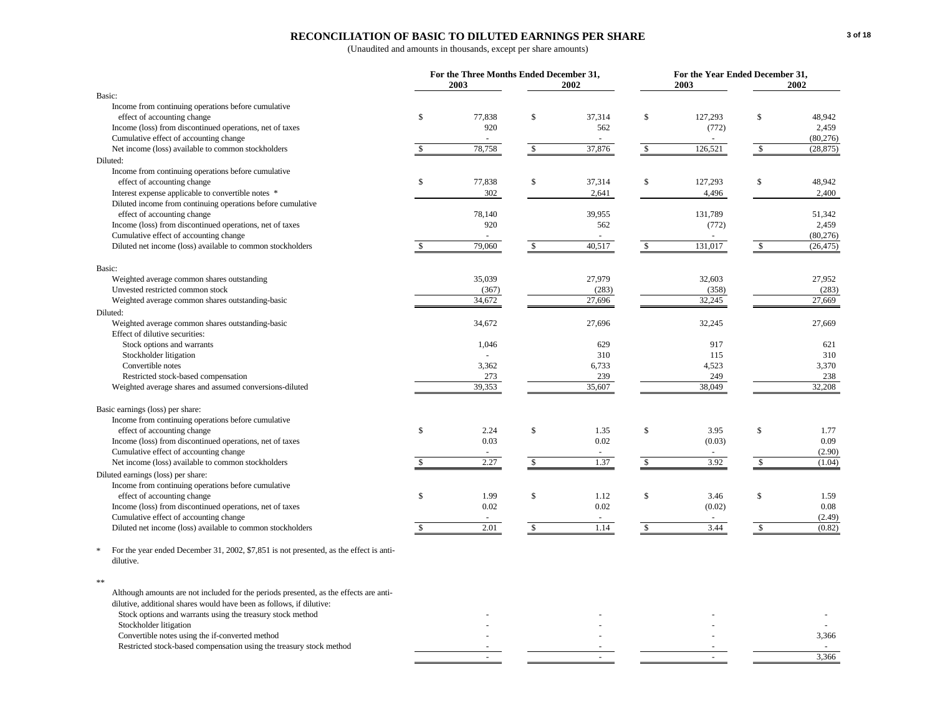# **RECONCILIATION OF BASIC TO DILUTED EARNINGS PER SHARE**

|                                                                                                     |               | For the Three Months Ended December 31,<br>2003 |              | 2002   |              | For the Year Ended December 31,<br>2003 |              | 2002      |
|-----------------------------------------------------------------------------------------------------|---------------|-------------------------------------------------|--------------|--------|--------------|-----------------------------------------|--------------|-----------|
| Basic:                                                                                              |               |                                                 |              |        |              |                                         |              |           |
| Income from continuing operations before cumulative                                                 |               |                                                 |              |        |              |                                         |              |           |
| effect of accounting change                                                                         | $\mathbb{S}$  | 77,838                                          | \$           | 37,314 | $\mathbb{S}$ | 127,293                                 | $\mathbb{S}$ | 48,942    |
| Income (loss) from discontinued operations, net of taxes                                            |               | 920                                             |              | 562    |              | (772)                                   |              | 2,459     |
| Cumulative effect of accounting change                                                              |               |                                                 |              |        |              |                                         |              | (80, 276) |
| Net income (loss) available to common stockholders                                                  |               | 78,758                                          | $\mathbb{S}$ | 37,876 | \$           | 126,521                                 | $\mathbb{S}$ | (28, 875) |
| Diluted:                                                                                            |               |                                                 |              |        |              |                                         |              |           |
| Income from continuing operations before cumulative                                                 |               |                                                 |              |        |              |                                         |              |           |
| effect of accounting change                                                                         | $\mathbb{S}$  | 77,838                                          | \$           | 37,314 | \$           | 127,293                                 | \$           | 48,942    |
| Interest expense applicable to convertible notes *                                                  |               | 302                                             |              | 2,641  |              | 4,496                                   |              | 2,400     |
| Diluted income from continuing operations before cumulative                                         |               |                                                 |              |        |              |                                         |              |           |
| effect of accounting change                                                                         |               | 78,140                                          |              | 39,955 |              | 131,789                                 |              | 51,342    |
| Income (loss) from discontinued operations, net of taxes                                            |               | 920                                             |              | 562    |              | (772)                                   |              | 2,459     |
| Cumulative effect of accounting change                                                              |               |                                                 |              |        |              |                                         |              | (80, 276) |
| Diluted net income (loss) available to common stockholders                                          | <sup>\$</sup> | 79,060                                          | $\mathbb{S}$ | 40,517 | $\mathbb{S}$ | 131,017                                 | $\mathbb{S}$ | (26, 475) |
|                                                                                                     |               |                                                 |              |        |              |                                         |              |           |
| Basic:                                                                                              |               |                                                 |              |        |              |                                         |              |           |
| Weighted average common shares outstanding                                                          |               | 35,039                                          |              | 27,979 |              | 32,603                                  |              | 27,952    |
| Unvested restricted common stock                                                                    |               | (367)                                           |              | (283)  |              | (358)                                   |              | (283)     |
| Weighted average common shares outstanding-basic                                                    |               | 34,672                                          |              | 27,696 |              | 32,245                                  |              | 27,669    |
| Diluted:                                                                                            |               |                                                 |              |        |              |                                         |              |           |
| Weighted average common shares outstanding-basic                                                    |               | 34,672                                          |              | 27,696 |              | 32,245                                  |              | 27,669    |
| Effect of dilutive securities:                                                                      |               |                                                 |              |        |              |                                         |              |           |
| Stock options and warrants                                                                          |               | 1,046                                           |              | 629    |              | 917                                     |              | 621       |
| Stockholder litigation                                                                              |               |                                                 |              | 310    |              | 115                                     |              | 310       |
| Convertible notes                                                                                   |               | 3,362                                           |              | 6,733  |              | 4,523                                   |              | 3,370     |
| Restricted stock-based compensation                                                                 |               | 273                                             |              | 239    |              | 249                                     |              | 238       |
| Weighted average shares and assumed conversions-diluted                                             |               | 39,353                                          |              | 35,607 |              | 38,049                                  |              | 32,208    |
|                                                                                                     |               |                                                 |              |        |              |                                         |              |           |
| Basic earnings (loss) per share:                                                                    |               |                                                 |              |        |              |                                         |              |           |
| Income from continuing operations before cumulative                                                 |               |                                                 |              |        |              |                                         |              |           |
| effect of accounting change                                                                         | $\mathbf S$   | 2.24                                            | $\mathbb S$  | 1.35   | $\mathbb{S}$ | 3.95                                    | $\mathbb{S}$ | 1.77      |
| Income (loss) from discontinued operations, net of taxes                                            |               | 0.03                                            |              | 0.02   |              | (0.03)                                  |              | 0.09      |
| Cumulative effect of accounting change                                                              |               | $\sim$                                          |              | $\sim$ |              |                                         |              | (2.90)    |
| Net income (loss) available to common stockholders                                                  |               | 2.27                                            | $\mathbb{S}$ | 1.37   | \$           | 3.92                                    | $\mathbb{S}$ | (1.04)    |
| Diluted earnings (loss) per share:                                                                  |               |                                                 |              |        |              |                                         |              |           |
| Income from continuing operations before cumulative                                                 |               |                                                 |              |        |              |                                         |              |           |
| effect of accounting change                                                                         | $\mathbb{S}$  | 1.99                                            | $\mathbb S$  | 1.12   | $\mathbb{S}$ | 3.46                                    | $\mathbb{S}$ | 1.59      |
| Income (loss) from discontinued operations, net of taxes                                            |               | 0.02                                            |              | 0.02   |              | (0.02)                                  |              | 0.08      |
| Cumulative effect of accounting change                                                              |               |                                                 |              |        |              |                                         |              | (2.49)    |
| Diluted net income (loss) available to common stockholders                                          | <sup>\$</sup> | 2.01                                            | $\mathbb{S}$ | 1.14   | $\mathbb{S}$ | 3.44                                    | $\mathbb{S}$ | (0.82)    |
|                                                                                                     |               |                                                 |              |        |              |                                         |              |           |
| For the year ended December 31, 2002, \$7,851 is not presented, as the effect is anti-<br>dilutive. |               |                                                 |              |        |              |                                         |              |           |
|                                                                                                     |               |                                                 |              |        |              |                                         |              |           |
| **                                                                                                  |               |                                                 |              |        |              |                                         |              |           |
| Although amounts are not included for the periods presented, as the effects are anti-               |               |                                                 |              |        |              |                                         |              |           |
| dilutive, additional shares would have been as follows, if dilutive:                                |               |                                                 |              |        |              |                                         |              |           |
| Stock options and warrants using the treasury stock method                                          |               |                                                 |              |        |              |                                         |              |           |
| Stockholder litigation                                                                              |               |                                                 |              |        |              |                                         |              |           |
| Convertible notes using the if-converted method                                                     |               |                                                 |              |        |              |                                         |              | 3,366     |
| Restricted stock-based compensation using the treasury stock method                                 |               |                                                 |              |        |              |                                         |              |           |
|                                                                                                     |               |                                                 |              |        |              |                                         |              | 3,366     |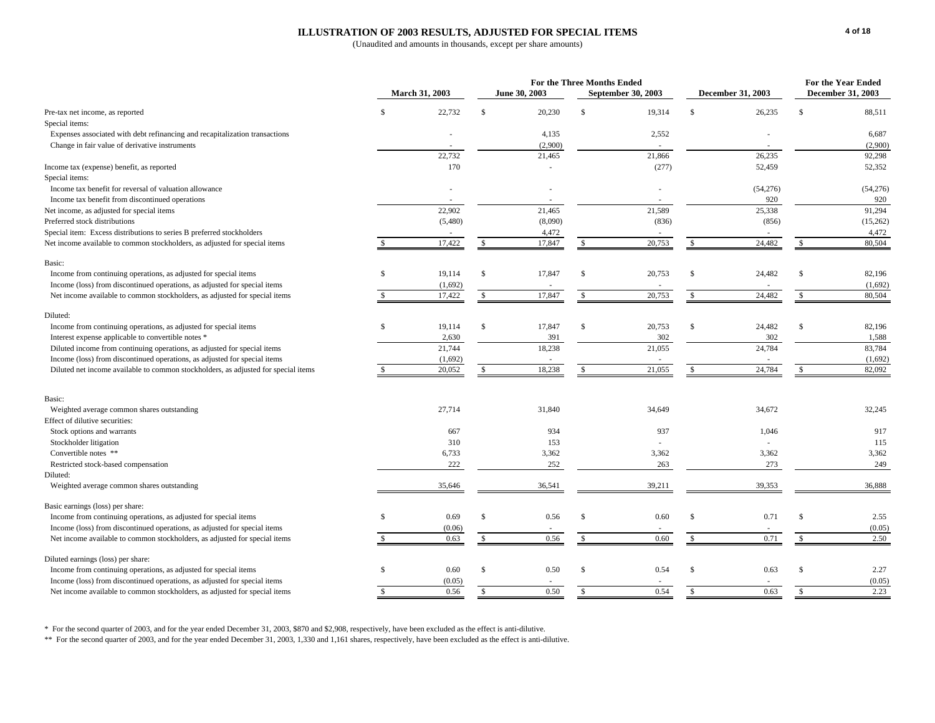#### **ILLUSTRATION OF 2003 RESULTS, ADJUSTED FOR SPECIAL ITEMS**

(Unaudited and amounts in thousands, except per share amounts)

|                                                                                    |               |                       |               |               | <b>For the Three Months Ended</b> |                    |              |                   | <b>For the Year Ended</b> |                   |
|------------------------------------------------------------------------------------|---------------|-----------------------|---------------|---------------|-----------------------------------|--------------------|--------------|-------------------|---------------------------|-------------------|
|                                                                                    |               | <b>March 31, 2003</b> |               | June 30, 2003 |                                   | September 30, 2003 |              | December 31, 2003 |                           | December 31, 2003 |
| Pre-tax net income, as reported                                                    | \$            | 22,732                | $\mathbb{S}$  | 20,230        | $\mathbb{S}$                      | 19,314             | \$           | 26,235            | \$                        | 88,511            |
| Special items:                                                                     |               |                       |               |               |                                   |                    |              |                   |                           |                   |
| Expenses associated with debt refinancing and recapitalization transactions        |               |                       |               | 4,135         |                                   | 2,552              |              |                   |                           | 6,687             |
| Change in fair value of derivative instruments                                     |               |                       |               | (2,900)       |                                   |                    |              |                   |                           | (2,900)           |
|                                                                                    |               | 22,732                |               | 21,465        |                                   | 21,866             |              | 26,235            |                           | 92,298            |
| Income tax (expense) benefit, as reported                                          |               | 170                   |               | ×.            |                                   | (277)              |              | 52,459            |                           | 52,352            |
| Special items:                                                                     |               |                       |               |               |                                   |                    |              |                   |                           |                   |
| Income tax benefit for reversal of valuation allowance                             |               |                       |               |               |                                   |                    |              | (54,276)          |                           | (54,276)          |
| Income tax benefit from discontinued operations                                    |               |                       |               |               |                                   |                    |              | 920               |                           | 920               |
| Net income, as adjusted for special items                                          |               | 22,902                |               | 21,465        |                                   | 21,589             |              | 25,338            |                           | 91,294            |
| Preferred stock distributions                                                      |               | (5,480)               |               | (8,090)       |                                   | (836)              |              | (856)             |                           | (15,262)          |
| Special item: Excess distributions to series B preferred stockholders              |               |                       |               | 4,472         |                                   |                    |              |                   |                           | 4,472             |
| Net income available to common stockholders, as adjusted for special items         |               | 17,422                | <sup>\$</sup> | 17,847        | \$                                | 20,753             | \$           | 24,482            | \$.                       | 80,504            |
| Basic:                                                                             |               |                       |               |               |                                   |                    |              |                   |                           |                   |
| Income from continuing operations, as adjusted for special items                   | \$            | 19,114                | \$            | 17,847        | \$                                | 20,753             | \$           | 24,482            | $\mathbb{S}$              | 82,196            |
| Income (loss) from discontinued operations, as adjusted for special items          |               | (1,692)               |               |               |                                   |                    |              |                   |                           | (1,692)           |
| Net income available to common stockholders, as adjusted for special items         | S.            | 17,422                | <sup>\$</sup> | 17,847        | \$                                | 20,753             | s.           | 24,482            | \$                        | 80,504            |
| Diluted:                                                                           |               |                       |               |               |                                   |                    |              |                   |                           |                   |
| Income from continuing operations, as adjusted for special items                   | \$            | 19,114                | <sup>\$</sup> | 17,847        | $\mathsf{\$}$                     | 20,753             | S            | 24,482            | $\mathbb{S}$              | 82,196            |
| Interest expense applicable to convertible notes *                                 |               | 2,630                 |               | 391           |                                   | 302                |              | 302               |                           | 1,588             |
| Diluted income from continuing operations, as adjusted for special items           |               | 21.744                |               | 18,238        |                                   | 21,055             |              | 24,784            |                           | 83,784            |
| Income (loss) from discontinued operations, as adjusted for special items          |               | (1,692)               |               |               |                                   |                    |              |                   |                           | (1,692)           |
| Diluted net income available to common stockholders, as adjusted for special items |               | 20,052                | $\mathbf{s}$  | 18,238        | $\mathbb{S}$                      | 21,055             | $\mathbb{S}$ | 24,784            | \$.                       | 82,092            |
|                                                                                    |               |                       |               |               |                                   |                    |              |                   |                           |                   |
| Basic:                                                                             |               |                       |               |               |                                   |                    |              |                   |                           |                   |
| Weighted average common shares outstanding                                         |               | 27,714                |               | 31,840        |                                   | 34,649             |              | 34,672            |                           | 32,245            |
| Effect of dilutive securities:                                                     |               |                       |               | 934           |                                   | 937                |              | 1.046             |                           |                   |
| Stock options and warrants                                                         |               | 667<br>310            |               | 153           |                                   |                    |              |                   |                           | 917<br>115        |
| Stockholder litigation<br>Convertible notes **                                     |               | 6,733                 |               | 3,362         |                                   | 3,362              |              | 3,362             |                           | 3,362             |
| Restricted stock-based compensation                                                |               | 222                   |               | 252           |                                   | 263                |              | 273               |                           | 249               |
| Diluted:                                                                           |               |                       |               |               |                                   |                    |              |                   |                           |                   |
| Weighted average common shares outstanding                                         |               | 35,646                |               | 36,541        |                                   | 39,211             |              | 39,353            |                           | 36,888            |
| Basic earnings (loss) per share:                                                   |               |                       |               |               |                                   |                    |              |                   |                           |                   |
| Income from continuing operations, as adjusted for special items                   | \$            | 0.69                  | \$            | 0.56          | $\mathbf{s}$                      | 0.60               | $\mathbb{S}$ | 0.71              | $\mathbb{S}$              | 2.55              |
| Income (loss) from discontinued operations, as adjusted for special items          |               | (0.06)                |               |               |                                   |                    |              |                   |                           | (0.05)            |
| Net income available to common stockholders, as adjusted for special items         | <sup>\$</sup> | 0.63                  | $\mathbf{s}$  | 0.56          | $\mathbb{S}$                      | 0.60               | $\mathbb{S}$ | 0.71              | $\mathbb{S}$              | 2.50              |
|                                                                                    |               |                       |               |               |                                   |                    |              |                   |                           |                   |
| Diluted earnings (loss) per share:                                                 |               |                       |               |               |                                   |                    |              |                   |                           |                   |
| Income from continuing operations, as adjusted for special items                   | $\mathbb{S}$  | 0.60                  | $\mathbb{S}$  | 0.50          | $\mathbf{s}$                      | 0.54               | $\mathbb{S}$ | 0.63              | $\mathbb{S}$              | 2.27              |
| Income (loss) from discontinued operations, as adjusted for special items          |               | (0.05)                |               |               |                                   |                    |              |                   |                           | (0.05)            |
| Net income available to common stockholders, as adjusted for special items         | $\mathbf{s}$  | 0.56                  | $\mathcal{S}$ | 0.50          | $\mathbb{S}$                      | 0.54               | $\mathbb{S}$ | 0.63              | $\mathbb{S}$              | 2.23              |

\* For the second quarter of 2003, and for the year ended December 31, 2003, \$870 and \$2,908, respectively, have been excluded as the effect is anti-dilutive.

\*\* For the second quarter of 2003, and for the year ended December 31, 2003, 1,330 and 1,161 shares, respectively, have been excluded as the effect is anti-dilutive.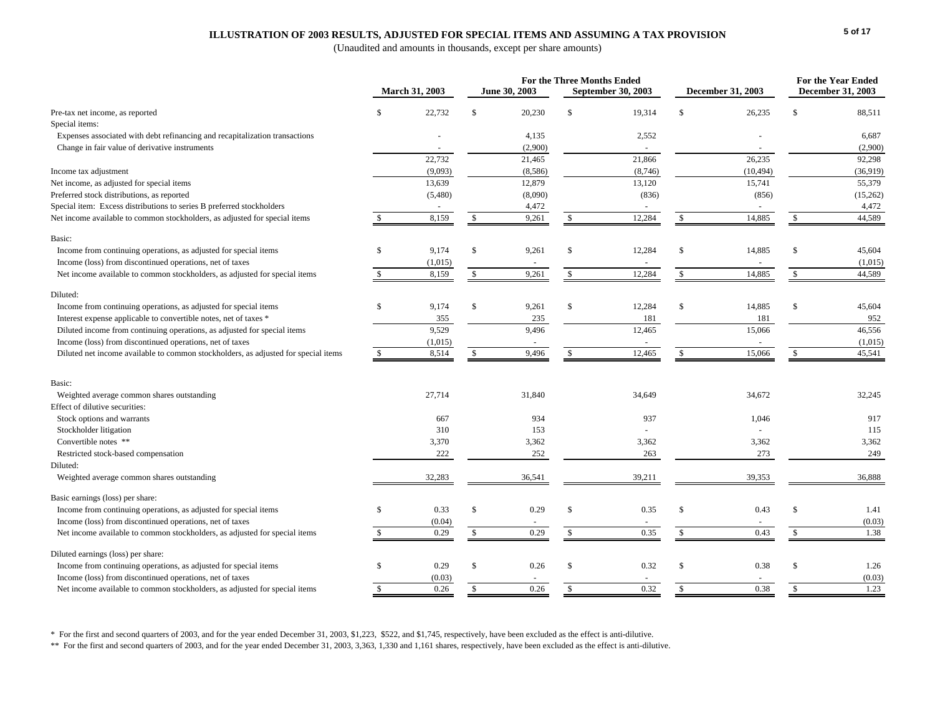#### **ILLUSTRATION OF 2003 RESULTS, ADJUSTED FOR SPECIAL ITEMS AND ASSUMING A TAX PROVISION**

(Unaudited and amounts in thousands, except per share amounts)

|                                                                                    |               | March 31, 2003 |                    | June 30, 2003 | For the Three Months Ended | <b>September 30, 2003</b> |               | <b>December 31, 2003</b> |               | For the Year Ended<br><b>December 31, 2003</b> |
|------------------------------------------------------------------------------------|---------------|----------------|--------------------|---------------|----------------------------|---------------------------|---------------|--------------------------|---------------|------------------------------------------------|
| Pre-tax net income, as reported                                                    | <sup>\$</sup> | 22,732         | S                  | 20,230        | - \$                       | 19,314                    | <sup>\$</sup> | 26,235                   | \$.           | 88,511                                         |
| Special items:                                                                     |               |                |                    |               |                            |                           |               |                          |               |                                                |
| Expenses associated with debt refinancing and recapitalization transactions        |               |                |                    | 4,135         |                            | 2,552                     |               |                          |               | 6,687                                          |
| Change in fair value of derivative instruments                                     |               |                |                    | (2,900)       |                            | $\sim$                    |               | $\sim$                   |               | (2,900)                                        |
|                                                                                    |               | 22,732         |                    | 21,465        |                            | 21,866                    |               | 26,235                   |               | 92,298                                         |
| Income tax adjustment                                                              |               | (9,093)        |                    | (8,586)       |                            | (8,746)                   |               | (10, 494)                |               | (36,919)                                       |
| Net income, as adjusted for special items                                          |               | 13,639         |                    | 12,879        |                            | 13,120                    |               | 15,741                   |               | 55,379                                         |
| Preferred stock distributions, as reported                                         |               | (5,480)        |                    | (8,090)       |                            | (836)                     |               | (856)                    |               | (15, 262)                                      |
| Special item: Excess distributions to series B preferred stockholders              |               |                |                    | 4,472         |                            |                           |               |                          |               | 4,472                                          |
| Net income available to common stockholders, as adjusted for special items         | <sup>\$</sup> | 8,159          | $\mathbb{S}$       | 9,261         | $\mathbb{S}$               | 12,284                    | $\mathbb{S}$  | 14,885                   | <sup>\$</sup> | 44,589                                         |
| Basic:                                                                             |               |                |                    |               |                            |                           |               |                          |               |                                                |
| Income from continuing operations, as adjusted for special items                   | <sup>\$</sup> | 9,174          | $\mathbb{S}$       | 9,261         | S                          | 12,284                    | <sup>\$</sup> | 14,885                   | \$.           | 45,604                                         |
| Income (loss) from discontinued operations, net of taxes                           |               | (1,015)        |                    |               |                            |                           |               |                          |               | (1,015)                                        |
| Net income available to common stockholders, as adjusted for special items         | $\mathcal{S}$ | 8,159          | $\mathbf{\hat{s}}$ | 9,261         | $\mathcal{S}$              | 12,284                    | $\mathbf{s}$  | 14,885                   | <sup>\$</sup> | 44,589                                         |
| Diluted:                                                                           |               |                |                    |               |                            |                           |               |                          |               |                                                |
| Income from continuing operations, as adjusted for special items                   | <sup>\$</sup> | 9,174          | $\mathcal{S}$      | 9,261         | S                          | 12,284                    | $\mathcal{S}$ | 14,885                   | \$.           | 45,604                                         |
| Interest expense applicable to convertible notes, net of taxes *                   |               | 355            |                    | 235           |                            | 181                       |               | 181                      |               | 952                                            |
| Diluted income from continuing operations, as adjusted for special items           |               | 9,529          |                    | 9,496         |                            | 12,465                    |               | 15,066                   |               | 46,556                                         |
| Income (loss) from discontinued operations, net of taxes                           |               | (1,015)        |                    | $\sim$        |                            | $\sim$                    |               | $\sim$                   |               | (1,015)                                        |
| Diluted net income available to common stockholders, as adjusted for special items | -S            | 8,514          | -S                 | 9,496         | -S                         | 12,465                    | S             | 15,066                   | -S            | 45,541                                         |
|                                                                                    |               |                |                    |               |                            |                           |               |                          |               |                                                |
| Basic:                                                                             |               |                |                    |               |                            |                           |               |                          |               |                                                |
| Weighted average common shares outstanding                                         |               | 27,714         |                    | 31,840        |                            | 34,649                    |               | 34,672                   |               | 32,245                                         |
| Effect of dilutive securities:                                                     |               |                |                    |               |                            |                           |               |                          |               |                                                |
| Stock options and warrants                                                         |               | 667            |                    | 934           |                            | 937                       |               | 1,046                    |               | 917                                            |
| Stockholder litigation                                                             |               | 310            |                    | 153           |                            |                           |               |                          |               | 115                                            |
| Convertible notes **                                                               |               | 3,370          |                    | 3,362         |                            | 3,362                     |               | 3,362                    |               | 3,362                                          |
| Restricted stock-based compensation                                                |               | 222            |                    | 252           |                            | 263                       |               | 273                      |               | 249                                            |
| Diluted:                                                                           |               |                |                    |               |                            |                           |               |                          |               |                                                |
| Weighted average common shares outstanding                                         |               | 32,283         |                    | 36,541        |                            | 39,211                    |               | 39,353                   |               | 36,888                                         |
| Basic earnings (loss) per share:                                                   |               |                |                    |               |                            |                           |               |                          |               |                                                |
| Income from continuing operations, as adjusted for special items                   | <sup>\$</sup> | 0.33           | $\mathbb{S}$       | 0.29          | - \$                       | 0.35                      | <sup>\$</sup> | 0.43                     | \$.           | 1.41                                           |
| Income (loss) from discontinued operations, net of taxes                           |               | (0.04)         |                    |               |                            |                           |               |                          |               | (0.03)                                         |
| Net income available to common stockholders, as adjusted for special items         | <sup>\$</sup> | 0.29           | $\mathbb{S}$       | 0.29          | S                          | 0.35                      | $\mathbb{S}$  | 0.43                     | \$            | 1.38                                           |
| Diluted earnings (loss) per share:                                                 |               |                |                    |               |                            |                           |               |                          |               |                                                |
| Income from continuing operations, as adjusted for special items                   | $\mathbb{S}$  | 0.29           | $\mathcal{S}$      | 0.26          | $\mathcal{S}$              | 0.32                      | <sup>\$</sup> | 0.38                     | \$.           | 1.26                                           |
| Income (loss) from discontinued operations, net of taxes                           |               | (0.03)         |                    |               |                            |                           |               |                          |               | (0.03)                                         |
| Net income available to common stockholders, as adjusted for special items         | $\mathbb{S}$  | 0.26           | $\mathbb{S}$       | 0.26          | $\mathbb{S}$               | 0.32                      | $\mathbb S$   | 0.38                     | $\mathbb{S}$  | 1.23                                           |

\* For the first and second quarters of 2003, and for the year ended December 31, 2003, \$1,223, \$522, and \$1,745, respectively, have been excluded as the effect is anti-dilutive.

\*\* For the first and second quarters of 2003, and for the year ended December 31, 2003, 3,363, 1,330 and 1,161 shares, respectively, have been excluded as the effect is anti-dilutive.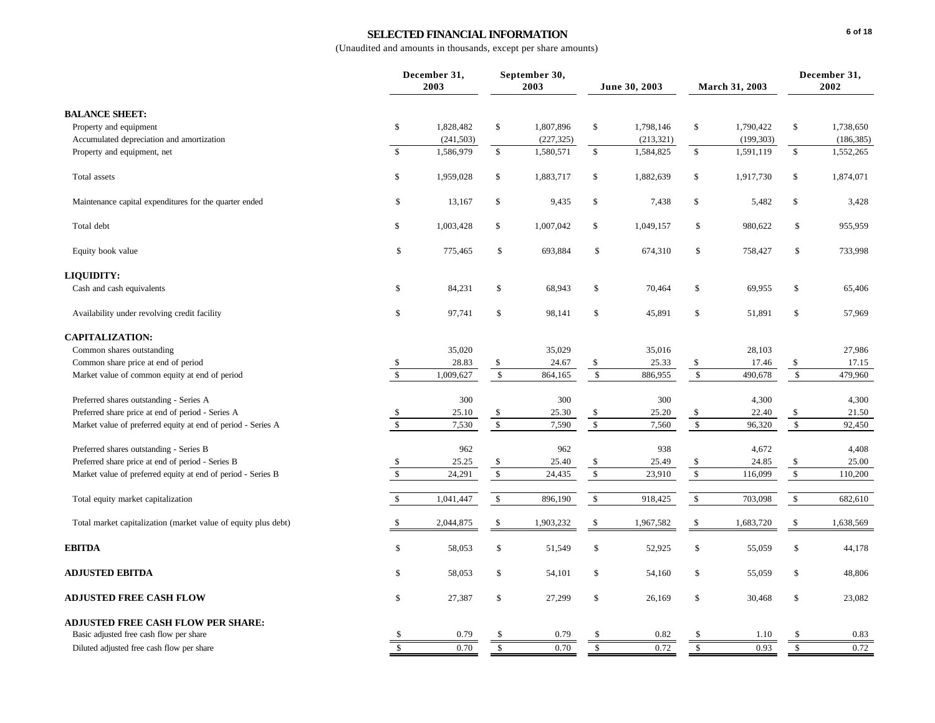# **SELECTED FINANCIAL INFORMATION**

|                                                                |               | December 31,<br>2003 |                      | September 30,<br>2003 |                      | June 30, 2003 |               | March 31, 2003 |                      | December 31,<br>2002 |  |
|----------------------------------------------------------------|---------------|----------------------|----------------------|-----------------------|----------------------|---------------|---------------|----------------|----------------------|----------------------|--|
| <b>BALANCE SHEET:</b>                                          |               |                      |                      |                       |                      |               |               |                |                      |                      |  |
| Property and equipment                                         | \$            | 1,828,482            | \$                   | 1,807,896             | \$                   | 1,798,146     | \$            | 1,790,422      | \$                   | 1,738,650            |  |
| Accumulated depreciation and amortization                      |               | (241, 503)           |                      | (227, 325)            |                      | (213, 321)    |               | (199, 303)     |                      | (186, 385)           |  |
| Property and equipment, net                                    | $\mathbb S$   | 1,586,979            | $\$$                 | 1,580,571             | $\mathbb{S}$         | 1,584,825     | \$            | 1,591,119      | $\mathbb{S}$         | 1,552,265            |  |
| Total assets                                                   | \$            | 1,959,028            | \$                   | 1,883,717             | \$                   | 1,882,639     | \$            | 1,917,730      | $\mathbb{S}$         | 1,874,071            |  |
| Maintenance capital expenditures for the quarter ended         | \$            | 13,167               | \$                   | 9,435                 | \$                   | 7,438         | \$            | 5,482          | \$                   | 3,428                |  |
| Total debt                                                     | \$            | 1,003,428            | \$                   | 1,007,042             | \$                   | 1,049,157     | \$            | 980,622        | \$                   | 955,959              |  |
| Equity book value                                              | \$            | 775,465              | \$                   | 693,884               | \$                   | 674,310       | \$            | 758,427        | \$                   | 733,998              |  |
| LIQUIDITY:                                                     |               |                      |                      |                       |                      |               |               |                |                      |                      |  |
| Cash and cash equivalents                                      | \$            | 84,231               | \$                   | 68,943                | \$                   | 70,464        | \$            | 69,955         | \$                   | 65,406               |  |
| Availability under revolving credit facility                   | \$            | 97,741               | \$                   | 98,141                | \$                   | 45,891        | \$            | 51,891         | \$                   | 57,969               |  |
| <b>CAPITALIZATION:</b>                                         |               |                      |                      |                       |                      |               |               |                |                      |                      |  |
| Common shares outstanding                                      |               | 35,020               |                      | 35,029                |                      | 35,016        |               | 28,103         |                      | 27,986               |  |
| Common share price at end of period                            | \$            | 28.83                | \$                   | 24.67                 | \$                   | 25.33         | \$            | 17.46          | \$                   | 17.15                |  |
| Market value of common equity at end of period                 | $\mathbf{s}$  | 1,009,627            | \$                   | 864,165               | $\mathbb{S}$         | 886,955       | $\mathbb{S}$  | 490,678        | $\mathbb{S}$         | 479,960              |  |
| Preferred shares outstanding - Series A                        |               | 300                  |                      | 300                   |                      | 300           |               | 4,300          |                      | 4,300                |  |
| Preferred share price at end of period - Series A              | \$            | 25.10                | \$                   | 25.30                 | \$                   | 25.20         | \$            | 22.40          | \$                   | 21.50                |  |
| Market value of preferred equity at end of period - Series A   | $\sqrt{S}$    | 7,530                | $\sqrt{\frac{1}{2}}$ | 7,590                 | $\sqrt{\frac{1}{2}}$ | 7,560         | $\mathbb{S}$  | 96,320         | $\sqrt{\frac{1}{2}}$ | 92,450               |  |
| Preferred shares outstanding - Series B                        |               | 962                  |                      | 962                   |                      | 938           |               | 4,672          |                      | 4,408                |  |
| Preferred share price at end of period - Series B              | \$            | 25.25                | \$                   | 25.40                 | \$                   | 25.49         | \$            | 24.85          | \$                   | 25.00                |  |
| Market value of preferred equity at end of period - Series B   | $\mathsf{\$}$ | 24,291               | $\mathbb{S}$         | 24,435                | $\mathsf{\$}$        | 23,910        | $\mathbb{S}$  | 116,099        | $\mathbb{S}$         | 110,200              |  |
| Total equity market capitalization                             | $\mathbf{s}$  | 1,041,447            | $\$$                 | 896,190               | \$                   | 918,425       | $\$$          | 703,098        | $\mathbb{S}$         | 682,610              |  |
| Total market capitalization (market value of equity plus debt) | <sup>\$</sup> | 2,044,875            | \$                   | 1,903,232             | \$                   | 1,967,582     | \$            | 1,683,720      | \$                   | 1,638,569            |  |
| <b>EBITDA</b>                                                  | \$            | 58,053               | \$                   | 51,549                | \$                   | 52,925        | \$            | 55,059         | \$                   | 44,178               |  |
| <b>ADJUSTED EBITDA</b>                                         | \$            | 58,053               | \$                   | 54,101                | \$                   | 54,160        | \$            | 55,059         | $\mathbb{S}$         | 48,806               |  |
| <b>ADJUSTED FREE CASH FLOW</b>                                 | \$            | 27,387               | \$                   | 27,299                | \$                   | 26,169        | \$            | 30,468         | \$                   | 23,082               |  |
| <b>ADJUSTED FREE CASH FLOW PER SHARE:</b>                      |               |                      |                      |                       |                      |               |               |                |                      |                      |  |
| Basic adjusted free cash flow per share                        |               | 0.79                 |                      | 0.79                  |                      | 0.82          |               | 1.10           |                      | 0.83                 |  |
| Diluted adjusted free cash flow per share                      | \$            | 0.70                 | \$.                  | 0.70                  | £.                   | 0.72          | $\mathbf{\$}$ | 0.93           | \$                   | 0.72                 |  |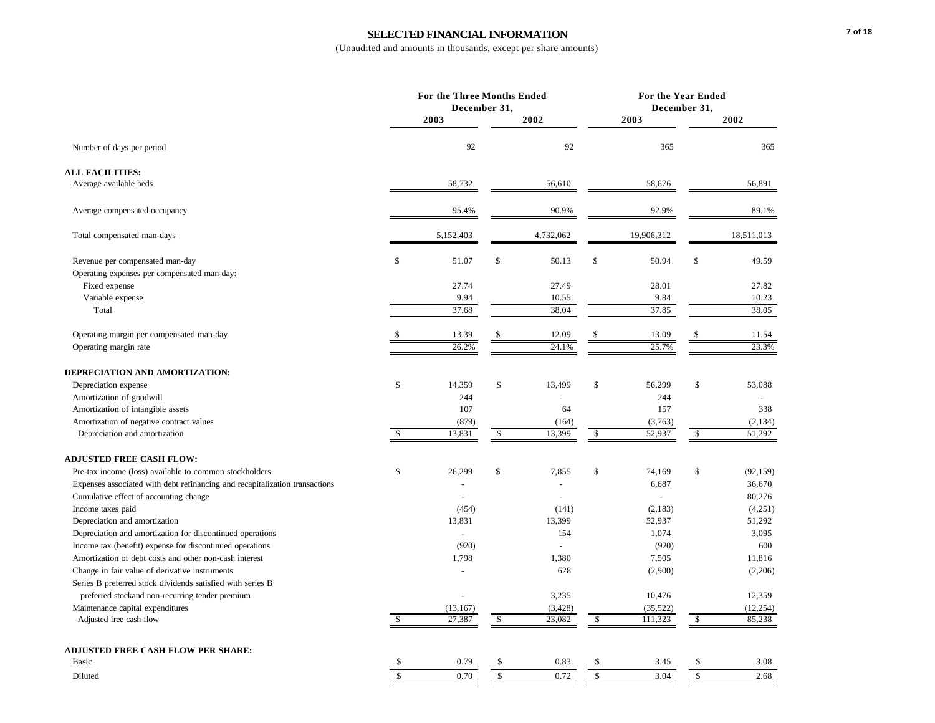# **SELECTED FINANCIAL INFORMATION**

|                                                                             |    | For the Three Months Ended<br>December 31, |                          |              | For the Year Ended<br>December 31, |                           |
|-----------------------------------------------------------------------------|----|--------------------------------------------|--------------------------|--------------|------------------------------------|---------------------------|
|                                                                             |    | 2003                                       | 2002                     |              | 2003                               | 2002                      |
| Number of days per period                                                   |    | 92                                         | 92                       |              | 365                                | 365                       |
| <b>ALL FACILITIES:</b>                                                      |    |                                            |                          |              |                                    |                           |
| Average available beds                                                      |    | 58,732                                     | 56,610                   |              | 58,676                             | 56,891                    |
| Average compensated occupancy                                               |    | 95.4%                                      | 90.9%                    |              | 92.9%                              | 89.1%                     |
| Total compensated man-days                                                  |    | 5,152,403                                  | 4,732,062                |              | 19,906,312                         | 18,511,013                |
| Revenue per compensated man-day                                             | \$ | 51.07                                      | \$<br>50.13              | $\mathbb{S}$ | 50.94                              | \$<br>49.59               |
| Operating expenses per compensated man-day:<br>Fixed expense                |    | 27.74                                      | 27.49                    |              | 28.01                              | 27.82                     |
|                                                                             |    | 9.94                                       |                          |              | 9.84                               | 10.23                     |
| Variable expense<br>Total                                                   |    | 37.68                                      | 10.55<br>38.04           |              | 37.85                              | 38.05                     |
| Operating margin per compensated man-day                                    |    | 13.39                                      | \$<br>12.09              | \$           | 13.09                              | 11.54                     |
| Operating margin rate                                                       |    | 26.2%                                      | 24.1%                    |              | 25.7%                              | 23.3%                     |
| DEPRECIATION AND AMORTIZATION:                                              |    |                                            |                          |              |                                    |                           |
| Depreciation expense                                                        | \$ | 14,359                                     | \$<br>13,499             | \$           | 56,299                             | \$<br>53,088              |
| Amortization of goodwill                                                    |    | 244                                        |                          |              | 244                                |                           |
| Amortization of intangible assets                                           |    | 107                                        | 64                       |              | 157                                | 338                       |
| Amortization of negative contract values                                    |    | (879)                                      | (164)                    |              | (3,763)                            | (2, 134)                  |
| Depreciation and amortization                                               | \$ | 13,831                                     | \$<br>13,399             | \$           | 52,937                             | \$<br>51,292              |
| <b>ADJUSTED FREE CASH FLOW:</b>                                             |    |                                            |                          |              |                                    |                           |
| Pre-tax income (loss) available to common stockholders                      | \$ | 26,299                                     | \$<br>7,855              | \$           | 74,169                             | \$<br>(92, 159)           |
| Expenses associated with debt refinancing and recapitalization transactions |    |                                            |                          |              | 6,687                              | 36,670                    |
| Cumulative effect of accounting change                                      |    |                                            |                          |              | $\overline{a}$                     | 80,276                    |
| Income taxes paid                                                           |    | (454)                                      | (141)                    |              | (2,183)                            | (4,251)                   |
| Depreciation and amortization                                               |    | 13,831                                     | 13,399                   |              | 52,937                             | 51,292                    |
| Depreciation and amortization for discontinued operations                   |    |                                            | 154                      |              | 1,074                              | 3,095                     |
| Income tax (benefit) expense for discontinued operations                    |    | (920)                                      | $\overline{a}$           |              | (920)                              | 600                       |
| Amortization of debt costs and other non-cash interest                      |    | 1,798                                      | 1,380                    |              | 7,505                              | 11,816                    |
| Change in fair value of derivative instruments                              |    |                                            | 628                      |              | (2,900)                            | (2,206)                   |
| Series B preferred stock dividends satisfied with series B                  |    |                                            |                          |              |                                    |                           |
| preferred stockand non-recurring tender premium                             |    |                                            | 3,235                    |              | 10,476                             | 12,359                    |
| Maintenance capital expenditures<br>Adjusted free cash flow                 | \$ | (13, 167)<br>27,387                        | \$<br>(3, 428)<br>23,082 | \$           | (35, 522)<br>111,323               | \$<br>(12, 254)<br>85,238 |
|                                                                             |    |                                            |                          |              |                                    |                           |
| <b>ADJUSTED FREE CASH FLOW PER SHARE:</b>                                   |    |                                            |                          |              |                                    |                           |
| Basic                                                                       | S  | 0.79                                       | \$<br>0.83               | \$           | 3.45                               | \$<br>3.08                |
| Diluted                                                                     | \$ | 0.70                                       | \$<br>0.72               | $\mathbb{S}$ | 3.04                               | \$<br>2.68                |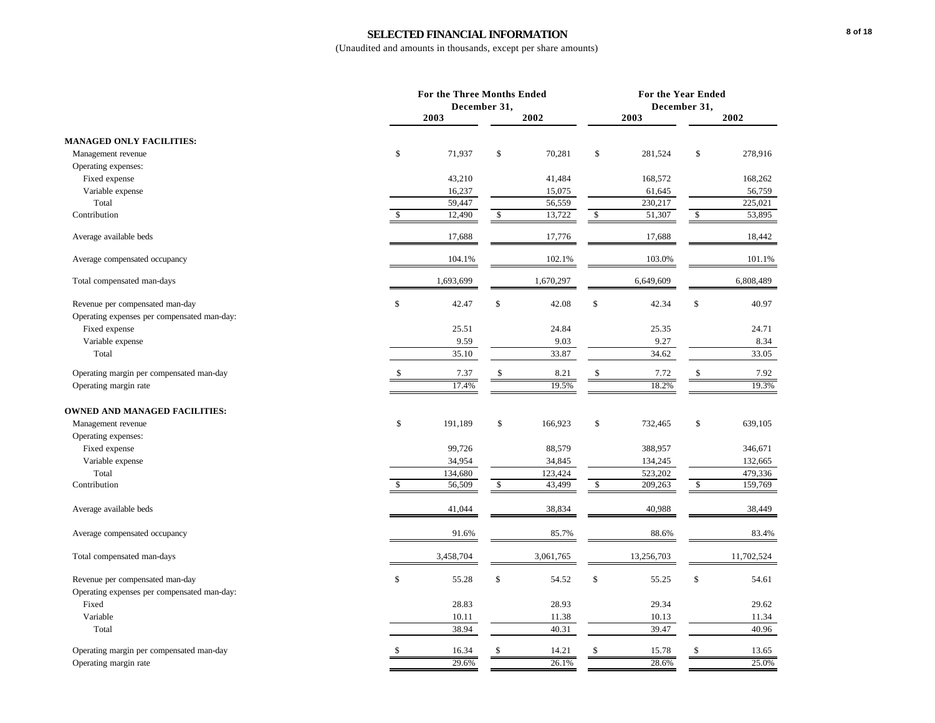# **SELECTED FINANCIAL INFORMATION**

|                                             |                    | For the Three Months Ended<br>December 31, |               |              | For the Year Ended<br>December 31, |              |            |  |
|---------------------------------------------|--------------------|--------------------------------------------|---------------|--------------|------------------------------------|--------------|------------|--|
|                                             |                    | 2003                                       | 2002          |              | 2003                               |              | 2002       |  |
| <b>MANAGED ONLY FACILITIES:</b>             |                    |                                            |               |              |                                    |              |            |  |
| Management revenue                          | \$                 | 71,937                                     | \$<br>70,281  | \$           | 281,524                            | \$           | 278,916    |  |
| Operating expenses:                         |                    |                                            |               |              |                                    |              |            |  |
| Fixed expense                               |                    | 43,210                                     | 41,484        |              | 168,572                            |              | 168,262    |  |
| Variable expense                            |                    | 16,237                                     | 15,075        |              | 61,645                             |              | 56,759     |  |
| Total                                       |                    | 59,447                                     | 56,559        |              | 230,217                            |              | 225,021    |  |
| Contribution                                | \$                 | 12,490                                     | \$<br>13,722  | \$           | 51,307                             | \$           | 53,895     |  |
| Average available beds                      |                    | 17,688                                     | 17,776        |              | 17,688                             |              | 18,442     |  |
| Average compensated occupancy               |                    | 104.1%                                     | 102.1%        |              | 103.0%                             |              | 101.1%     |  |
| Total compensated man-days                  |                    | 1,693,699                                  | 1,670,297     |              | 6,649,609                          |              | 6,808,489  |  |
| Revenue per compensated man-day             | \$                 | 42.47                                      | \$<br>42.08   | \$           | 42.34                              | \$           | 40.97      |  |
| Operating expenses per compensated man-day: |                    |                                            |               |              |                                    |              |            |  |
| Fixed expense                               |                    | 25.51                                      | 24.84         |              | 25.35                              |              | 24.71      |  |
| Variable expense                            |                    | 9.59                                       | 9.03          |              | 9.27                               |              | 8.34       |  |
| Total                                       |                    | 35.10                                      | 33.87         |              | 34.62                              |              | 33.05      |  |
| Operating margin per compensated man-day    | $\mathbf{\hat{s}}$ | 7.37                                       | \$<br>8.21    | $\mathbb{S}$ | 7.72                               | $\mathbb{S}$ | 7.92       |  |
| Operating margin rate                       |                    | 17.4%                                      | 19.5%         |              | 18.2%                              |              | 19.3%      |  |
| <b>OWNED AND MANAGED FACILITIES:</b>        |                    |                                            |               |              |                                    |              |            |  |
| Management revenue                          | \$                 | 191,189                                    | \$<br>166,923 | \$           | 732,465                            | \$           | 639,105    |  |
| Operating expenses:                         |                    |                                            |               |              |                                    |              |            |  |
| Fixed expense                               |                    | 99,726                                     | 88,579        |              | 388,957                            |              | 346,671    |  |
| Variable expense                            |                    | 34,954                                     | 34,845        |              | 134,245                            |              | 132,665    |  |
| Total                                       |                    | 134,680                                    | 123,424       |              | 523,202                            |              | 479,336    |  |
| Contribution                                | \$                 | 56,509                                     | \$<br>43,499  | \$           | 209,263                            | \$           | 159,769    |  |
| Average available beds                      |                    | 41,044                                     | 38,834        |              | 40,988                             |              | 38,449     |  |
| Average compensated occupancy               |                    | 91.6%                                      | 85.7%         |              | 88.6%                              |              | 83.4%      |  |
| Total compensated man-days                  |                    | 3,458,704                                  | 3,061,765     |              | 13,256,703                         |              | 11,702,524 |  |
| Revenue per compensated man-day             | \$                 | 55.28                                      | \$<br>54.52   | \$           | 55.25                              | \$           | 54.61      |  |
| Operating expenses per compensated man-day: |                    |                                            |               |              |                                    |              |            |  |
| Fixed                                       |                    | 28.83                                      | 28.93         |              | 29.34                              |              | 29.62      |  |
| Variable                                    |                    | 10.11                                      | 11.38         |              | 10.13                              |              | 11.34      |  |
| Total                                       |                    | 38.94                                      | 40.31         |              | 39.47                              |              | 40.96      |  |
| Operating margin per compensated man-day    | \$                 | 16.34                                      | \$<br>14.21   | \$           | 15.78                              | \$           | 13.65      |  |
| Operating margin rate                       |                    | 29.6%                                      | 26.1%         |              | 28.6%                              |              | 25.0%      |  |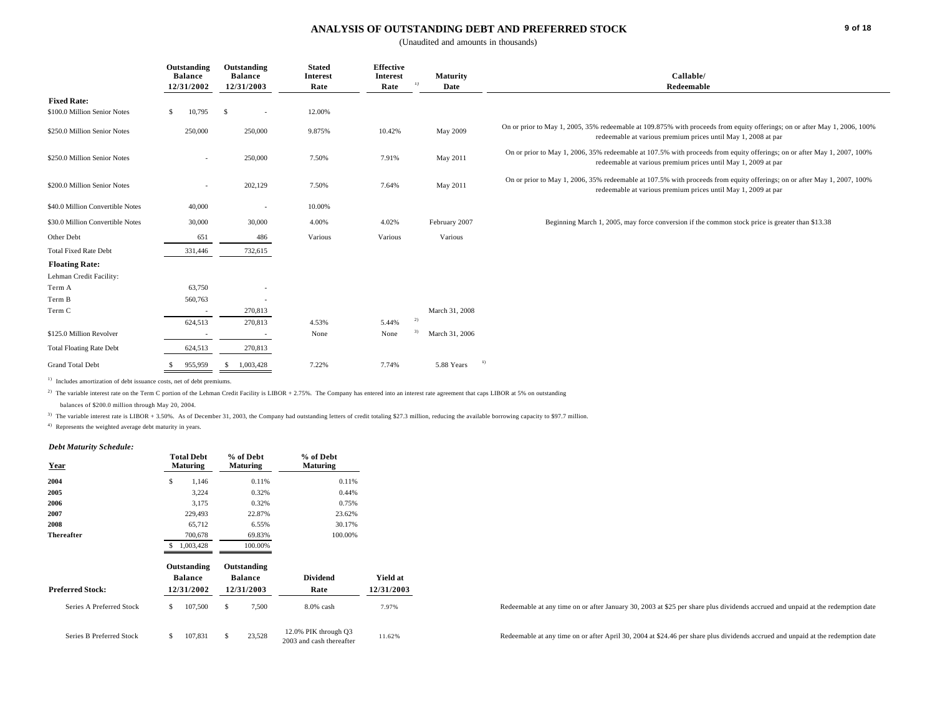#### **ANALYSIS OF OUTSTANDING DEBT AND PREFERRED STOCK**

(Unaudited and amounts in thousands)

|                                  | Outstanding<br><b>Balance</b><br>12/31/2002 | Outstanding<br><b>Balance</b><br>12/31/2003 | <b>Stated</b><br><b>Interest</b><br>Rate | <b>Effective</b><br>Interest<br>Rate | <b>Maturity</b><br>Date | Callable/<br>Redeemable                                                                                                                                                                    |
|----------------------------------|---------------------------------------------|---------------------------------------------|------------------------------------------|--------------------------------------|-------------------------|--------------------------------------------------------------------------------------------------------------------------------------------------------------------------------------------|
| <b>Fixed Rate:</b>               |                                             |                                             |                                          |                                      |                         |                                                                                                                                                                                            |
| \$100.0 Million Senior Notes     | 10,795<br>S.                                | <b>S</b><br>$\sim$                          | 12.00%                                   |                                      |                         |                                                                                                                                                                                            |
| \$250.0 Million Senior Notes     | 250,000                                     | 250,000                                     | 9.875%                                   | 10.42%                               | May 2009                | On or prior to May 1, 2005, 35% redeemable at 109.875% with proceeds from equity offerings; on or after May 1, 2006, 100%<br>redeemable at various premium prices until May 1, 2008 at par |
| \$250.0 Million Senior Notes     | $\sim$                                      | 250,000                                     | 7.50%                                    | 7.91%                                | May 2011                | On or prior to May 1, 2006, 35% redeemable at 107.5% with proceeds from equity offerings; on or after May 1, 2007, 100%<br>redeemable at various premium prices until May 1, 2009 at par   |
| \$200.0 Million Senior Notes     | $\sim$                                      | 202,129                                     | 7.50%                                    | 7.64%                                | May 2011                | On or prior to May 1, 2006, 35% redeemable at 107.5% with proceeds from equity offerings; on or after May 1, 2007, 100%<br>redeemable at various premium prices until May 1, 2009 at par   |
| \$40.0 Million Convertible Notes | 40,000                                      | $\sim$                                      | 10.00%                                   |                                      |                         |                                                                                                                                                                                            |
| \$30.0 Million Convertible Notes | 30,000                                      | 30,000                                      | 4.00%                                    | 4.02%                                | February 2007           | Beginning March 1, 2005, may force conversion if the common stock price is greater than \$13.38                                                                                            |
| Other Debt                       | 651                                         | 486                                         | Various                                  | Various                              | Various                 |                                                                                                                                                                                            |
| <b>Total Fixed Rate Debt</b>     | 331,446                                     | 732,615                                     |                                          |                                      |                         |                                                                                                                                                                                            |
| <b>Floating Rate:</b>            |                                             |                                             |                                          |                                      |                         |                                                                                                                                                                                            |
| Lehman Credit Facility:          |                                             |                                             |                                          |                                      |                         |                                                                                                                                                                                            |
| Term A                           | 63,750                                      |                                             |                                          |                                      |                         |                                                                                                                                                                                            |
| Term B                           | 560,763                                     |                                             |                                          |                                      |                         |                                                                                                                                                                                            |
| Term C                           | $\sim$                                      | 270,813                                     |                                          |                                      | March 31, 2008          |                                                                                                                                                                                            |
|                                  | 624,513                                     | 270,813                                     | 4.53%                                    | 5.44%                                | 2)                      |                                                                                                                                                                                            |
| \$125.0 Million Revolver         | $\sim$                                      | $\overline{\phantom{a}}$                    | None                                     | None                                 | March 31, 2006          |                                                                                                                                                                                            |
| <b>Total Floating Rate Debt</b>  | 624,513                                     | 270,813                                     |                                          |                                      |                         |                                                                                                                                                                                            |
| <b>Grand Total Debt</b>          | 955,959                                     | 1,003,428<br>-8                             | 7.22%                                    | 7.74%                                | $^{(1)}$<br>5.88 Years  |                                                                                                                                                                                            |

<sup>1)</sup> Includes amortization of debt issuance costs, net of debt premiums.

<sup>2)</sup> The variable interest rate on the Term C portion of the Lehman Credit Facility is LIBOR + 2.75%. The Company has entered into an interest rate agreement that caps LIBOR at 5% on outstanding

balances of \$200.0 million through May 20, 2004.

<sup>3)</sup> The variable interest rate is LIBOR + 3.50%. As of December 31, 2003, the Company had outstanding letters of credit totaling \$27.3 million, reducing the available borrowing capacity to \$97.7 million.

4) Represents the weighted average debt maturity in years.

#### *Debt Maturity Schedule:*

| рет ташни эспеаше:       |   |                                      |   |                              |                                                  |            |
|--------------------------|---|--------------------------------------|---|------------------------------|--------------------------------------------------|------------|
| <b>Year</b>              |   | <b>Total Debt</b><br><b>Maturing</b> |   | % of Debt<br><b>Maturing</b> | % of Debt<br><b>Maturing</b>                     |            |
| 2004                     | Ŝ | 1,146                                |   | 0.11%                        | 0.11%                                            |            |
| 2005                     |   | 3,224                                |   | 0.32%                        | 0.44%                                            |            |
| 2006                     |   | 3,175                                |   | 0.32%                        | 0.75%                                            |            |
| 2007                     |   | 229,493                              |   | 22.87%                       | 23.62%                                           |            |
| 2008                     |   | 65,712                               |   | 6.55%                        | 30.17%                                           |            |
| <b>Thereafter</b>        |   | 700,678                              |   | 69.83%                       | 100.00%                                          |            |
|                          | S | 1,003,428                            |   | 100.00%                      |                                                  |            |
|                          |   | Outstanding                          |   | Outstanding                  |                                                  |            |
|                          |   | <b>Balance</b>                       |   | <b>Balance</b>               | <b>Dividend</b>                                  | Yield at   |
| <b>Preferred Stock:</b>  |   | 12/31/2002                           |   | 12/31/2003                   | Rate                                             | 12/31/2003 |
| Series A Preferred Stock | Ŝ | 107,500                              | Ŝ | 7,500                        | 8.0% cash                                        | 7.97%      |
| Series B Preferred Stock | S | 107,831                              | Ŝ | 23,528                       | 12.0% PIK through Q3<br>2003 and cash thereafter | 11.62%     |

Redeemable at any time on or after January 30, 2003 at \$25 per share plus dividends accrued and unpaid at the redemption date

Redeemable at any time on or after April 30, 2004 at \$24.46 per share plus dividends accrued and unpaid at the redemption date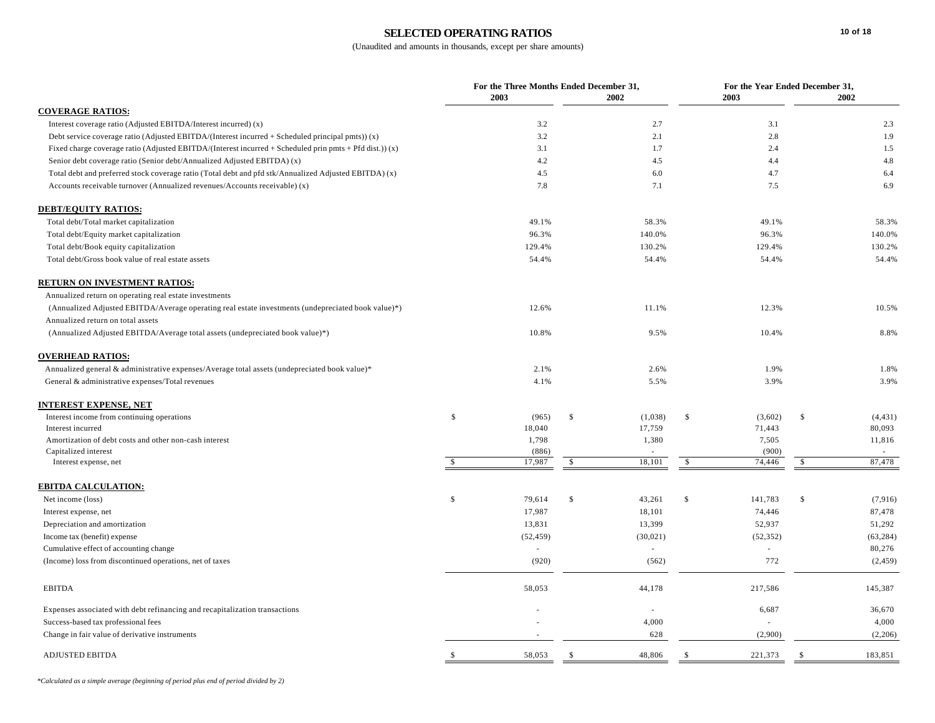# **SELECTED OPERATING RATIOS**

|                                                                                                         |               | For the Three Months Ended December 31, |                    |           |              | For the Year Ended December 31, |              |           |  |  |
|---------------------------------------------------------------------------------------------------------|---------------|-----------------------------------------|--------------------|-----------|--------------|---------------------------------|--------------|-----------|--|--|
|                                                                                                         |               | 2003                                    |                    | 2002      |              | 2003                            |              | 2002      |  |  |
| <b>COVERAGE RATIOS:</b>                                                                                 |               |                                         |                    |           |              |                                 |              |           |  |  |
| Interest coverage ratio (Adjusted EBITDA/Interest incurred) (x)                                         |               | 3.2                                     |                    | 2.7       |              | 3.1                             |              | 2.3       |  |  |
| Debt service coverage ratio (Adjusted EBITDA/(Interest incurred + Scheduled principal pmts)) $(x)$      |               | 3.2                                     |                    | 2.1       |              | 2.8                             |              | 1.9       |  |  |
| Fixed charge coverage ratio (Adjusted EBITDA/(Interest incurred + Scheduled prin pmts + Pfd dist.)) (x) |               | 3.1                                     |                    | 1.7       |              | 2.4                             |              | 1.5       |  |  |
| Senior debt coverage ratio (Senior debt/Annualized Adjusted EBITDA) (x)                                 |               | 4.2                                     |                    | 4.5       |              | 4.4                             |              | 4.8       |  |  |
| Total debt and preferred stock coverage ratio (Total debt and pfd stk/Annualized Adjusted EBITDA) (x)   |               | 4.5                                     |                    | 6.0       |              | 4.7                             |              | 6.4       |  |  |
| Accounts receivable turnover (Annualized revenues/Accounts receivable) (x)                              |               | 7.8                                     |                    | 7.1       |              | 7.5                             |              | 6.9       |  |  |
| <b>DEBT/EQUITY RATIOS:</b>                                                                              |               |                                         |                    |           |              |                                 |              |           |  |  |
| Total debt/Total market capitalization                                                                  |               | 49.1%                                   |                    | 58.3%     |              | 49.1%                           |              | 58.3%     |  |  |
| Total debt/Equity market capitalization                                                                 |               | 96.3%                                   |                    | 140.0%    |              | 96.3%                           |              | 140.0%    |  |  |
| Total debt/Book equity capitalization                                                                   |               | 129.4%                                  |                    | 130.2%    |              | 129.4%                          |              | 130.2%    |  |  |
| Total debt/Gross book value of real estate assets                                                       |               | 54.4%                                   |                    | 54.4%     |              | 54.4%                           |              | 54.4%     |  |  |
| RETURN ON INVESTMENT RATIOS:                                                                            |               |                                         |                    |           |              |                                 |              |           |  |  |
| Annualized return on operating real estate investments                                                  |               |                                         |                    |           |              |                                 |              |           |  |  |
| (Annualized Adjusted EBITDA/Average operating real estate investments (undepreciated book value)*)      |               | 12.6%                                   |                    | 11.1%     |              | 12.3%                           |              | 10.5%     |  |  |
| Annualized return on total assets                                                                       |               |                                         |                    |           |              |                                 |              |           |  |  |
| (Annualized Adjusted EBITDA/Average total assets (undepreciated book value)*)                           |               | 10.8%                                   |                    | 9.5%      |              | 10.4%                           |              | 8.8%      |  |  |
| <b>OVERHEAD RATIOS:</b>                                                                                 |               |                                         |                    |           |              |                                 |              |           |  |  |
| Annualized general & administrative expenses/Average total assets (undepreciated book value)*           |               | 2.1%                                    |                    | 2.6%      |              | 1.9%                            |              | 1.8%      |  |  |
| General & administrative expenses/Total revenues                                                        |               | 4.1%                                    |                    | 5.5%      |              | 3.9%                            |              | 3.9%      |  |  |
| INTEREST EXPENSE, NET                                                                                   |               |                                         |                    |           |              |                                 |              |           |  |  |
| Interest income from continuing operations                                                              | \$            | (965)                                   | $\mathbb{S}$       | (1,038)   | $\mathbb{S}$ | (3,602)                         | $\mathbb{S}$ | (4, 431)  |  |  |
| Interest incurred                                                                                       |               | 18,040                                  |                    | 17,759    |              | 71,443                          |              | 80,093    |  |  |
| Amortization of debt costs and other non-cash interest                                                  |               | 1,798                                   |                    | 1,380     |              | 7,505                           |              | 11,816    |  |  |
| Capitalized interest                                                                                    |               | (886)                                   |                    |           |              | (900)                           |              |           |  |  |
| Interest expense, net                                                                                   | $\mathcal{S}$ | 17,987                                  | $\mathbf{\hat{S}}$ | 18,101    | $\mathbb{S}$ | 74.446                          | $\mathbb{S}$ | 87,478    |  |  |
| <b>EBITDA CALCULATION:</b>                                                                              |               |                                         |                    |           |              |                                 |              |           |  |  |
| Net income (loss)                                                                                       | $\mathbf S$   | 79,614                                  | $\mathbb{S}$       | 43,261    | $\mathbb{S}$ | 141,783                         | $\mathbb{S}$ | (7,916)   |  |  |
| Interest expense, net                                                                                   |               | 17,987                                  |                    | 18,101    |              | 74,446                          |              | 87,478    |  |  |
| Depreciation and amortization                                                                           |               | 13,831                                  |                    | 13,399    |              | 52,937                          |              | 51,292    |  |  |
| Income tax (benefit) expense                                                                            |               | (52, 459)                               |                    | (30, 021) |              | (52, 352)                       |              | (63, 284) |  |  |
| Cumulative effect of accounting change                                                                  |               | $\sim$                                  |                    | ä,        |              | L.                              |              | 80,276    |  |  |
| (Income) loss from discontinued operations, net of taxes                                                |               | (920)                                   |                    | (562)     |              | 772                             |              | (2, 459)  |  |  |
| <b>EBITDA</b>                                                                                           |               | 58,053                                  |                    | 44,178    |              | 217,586                         |              | 145,387   |  |  |
| Expenses associated with debt refinancing and recapitalization transactions                             |               |                                         |                    |           |              | 6,687                           |              | 36,670    |  |  |
| Success-based tax professional fees                                                                     |               |                                         |                    | 4,000     |              |                                 |              | 4,000     |  |  |
| Change in fair value of derivative instruments                                                          |               |                                         |                    | 628       |              | (2,900)                         |              | (2,206)   |  |  |
| <b>ADJUSTED EBITDA</b>                                                                                  | <sup>\$</sup> | 58,053                                  | -S                 | 48,806    | - S          | 221,373                         | \$           | 183,851   |  |  |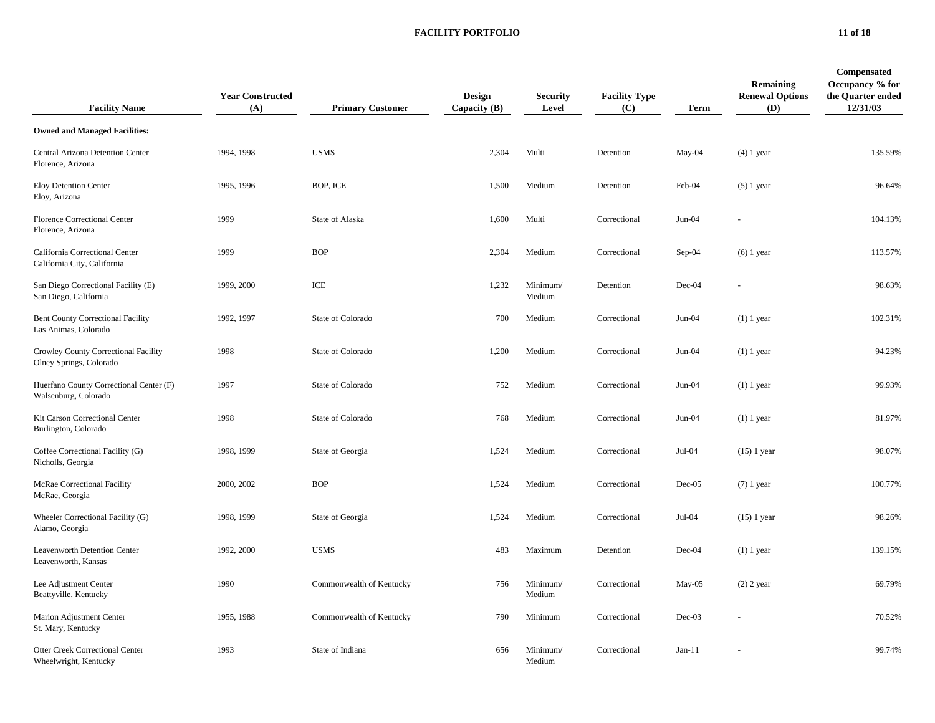#### **FACILITY PORTFOLIO 11 of 18**

| <b>Facility Name</b>                                             | <b>Year Constructed</b><br>(A) | <b>Primary Customer</b>  | <b>Design</b><br>Capacity $(B)$ | <b>Security</b><br>Level | <b>Facility Type</b><br>(C) | <b>Term</b> | Remaining<br><b>Renewal Options</b><br>(D) | Compensated<br>Occupancy % for<br>the Quarter ended<br>12/31/03 |
|------------------------------------------------------------------|--------------------------------|--------------------------|---------------------------------|--------------------------|-----------------------------|-------------|--------------------------------------------|-----------------------------------------------------------------|
| <b>Owned and Managed Facilities:</b>                             |                                |                          |                                 |                          |                             |             |                                            |                                                                 |
| Central Arizona Detention Center<br>Florence, Arizona            | 1994, 1998                     | <b>USMS</b>              | 2,304                           | Multi                    | Detention                   | May-04      | $(4)$ 1 year                               | 135.59%                                                         |
| <b>Eloy Detention Center</b><br>Eloy, Arizona                    | 1995, 1996                     | BOP, ICE                 | 1,500                           | Medium                   | Detention                   | Feb-04      | $(5)$ 1 year                               | 96.64%                                                          |
| Florence Correctional Center<br>Florence, Arizona                | 1999                           | State of Alaska          | 1,600                           | Multi                    | Correctional                | Jun-04      |                                            | 104.13%                                                         |
| California Correctional Center<br>California City, California    | 1999                           | <b>BOP</b>               | 2,304                           | Medium                   | Correctional                | Sep-04      | $(6)$ 1 year                               | 113.57%                                                         |
| San Diego Correctional Facility (E)<br>San Diego, California     | 1999, 2000                     | ICE                      | 1,232                           | Minimum/<br>Medium       | Detention                   | Dec-04      |                                            | 98.63%                                                          |
| <b>Bent County Correctional Facility</b><br>Las Animas, Colorado | 1992, 1997                     | State of Colorado        | 700                             | Medium                   | Correctional                | $Jun-04$    | $(1)$ 1 year                               | 102.31%                                                         |
| Crowley County Correctional Facility<br>Olney Springs, Colorado  | 1998                           | State of Colorado        | 1,200                           | Medium                   | Correctional                | Jun-04      | $(1)$ 1 year                               | 94.23%                                                          |
| Huerfano County Correctional Center (F)<br>Walsenburg, Colorado  | 1997                           | State of Colorado        | 752                             | Medium                   | Correctional                | $Jun-04$    | $(1)$ 1 year                               | 99.93%                                                          |
| Kit Carson Correctional Center<br>Burlington, Colorado           | 1998                           | State of Colorado        | 768                             | Medium                   | Correctional                | $Jun-04$    | $(1)$ 1 year                               | 81.97%                                                          |
| Coffee Correctional Facility (G)<br>Nicholls, Georgia            | 1998, 1999                     | State of Georgia         | 1,524                           | Medium                   | Correctional                | Jul-04      | $(15)$ 1 year                              | 98.07%                                                          |
| McRae Correctional Facility<br>McRae, Georgia                    | 2000, 2002                     | <b>BOP</b>               | 1,524                           | Medium                   | Correctional                | $Dec-05$    | $(7)$ 1 year                               | 100.77%                                                         |
| Wheeler Correctional Facility (G)<br>Alamo, Georgia              | 1998, 1999                     | State of Georgia         | 1,524                           | Medium                   | Correctional                | Jul-04      | $(15)$ 1 year                              | 98.26%                                                          |
| Leavenworth Detention Center<br>Leavenworth, Kansas              | 1992, 2000                     | <b>USMS</b>              | 483                             | Maximum                  | Detention                   | Dec-04      | $(1)$ 1 year                               | 139.15%                                                         |
| Lee Adjustment Center<br>Beattyville, Kentucky                   | 1990                           | Commonwealth of Kentucky | 756                             | Minimum/<br>Medium       | Correctional                | May-05      | $(2)$ 2 year                               | 69.79%                                                          |
| Marion Adjustment Center<br>St. Mary, Kentucky                   | 1955, 1988                     | Commonwealth of Kentucky | 790                             | Minimum                  | Correctional                | Dec-03      |                                            | 70.52%                                                          |
| <b>Otter Creek Correctional Center</b><br>Wheelwright, Kentucky  | 1993                           | State of Indiana         | 656                             | Minimum/<br>Medium       | Correctional                | $Jan-11$    |                                            | 99.74%                                                          |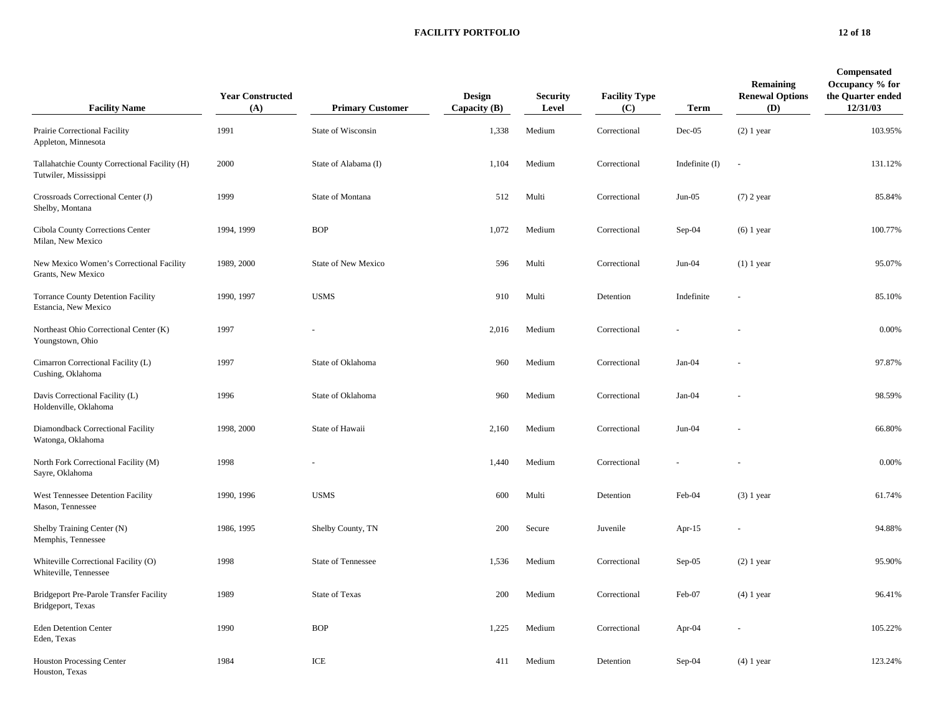#### **FACILITY PORTFOLIO 12 of 18**

| <b>Facility Name</b>                                                   | <b>Year Constructed</b><br>(A) | <b>Primary Customer</b>   | <b>Design</b><br>Capacity $(B)$ | <b>Security</b><br>Level | <b>Facility Type</b><br>(C) | Term             | Remaining<br><b>Renewal Options</b><br>(D) | Compensated<br>Occupancy % for<br>the Quarter ended<br>12/31/03 |
|------------------------------------------------------------------------|--------------------------------|---------------------------|---------------------------------|--------------------------|-----------------------------|------------------|--------------------------------------------|-----------------------------------------------------------------|
| Prairie Correctional Facility<br>Appleton, Minnesota                   | 1991                           | State of Wisconsin        | 1,338                           | Medium                   | Correctional                | $Dec-05$         | $(2)$ 1 year                               | 103.95%                                                         |
| Tallahatchie County Correctional Facility (H)<br>Tutwiler, Mississippi | 2000                           | State of Alabama (I)      | 1,104                           | Medium                   | Correctional                | Indefinite $(I)$ | $\sim$                                     | 131.12%                                                         |
| Crossroads Correctional Center (J)<br>Shelby, Montana                  | 1999                           | State of Montana          | 512                             | Multi                    | Correctional                | $Jun-05$         | $(7)$ 2 year                               | 85.84%                                                          |
| Cibola County Corrections Center<br>Milan, New Mexico                  | 1994, 1999                     | <b>BOP</b>                | 1,072                           | Medium                   | Correctional                | $Sep-04$         | $(6)$ 1 year                               | 100.77%                                                         |
| New Mexico Women's Correctional Facility<br>Grants, New Mexico         | 1989, 2000                     | State of New Mexico       | 596                             | Multi                    | Correctional                | $Jun-04$         | $(1)$ 1 year                               | 95.07%                                                          |
| Torrance County Detention Facility<br>Estancia, New Mexico             | 1990, 1997                     | <b>USMS</b>               | 910                             | Multi                    | Detention                   | Indefinite       |                                            | 85.10%                                                          |
| Northeast Ohio Correctional Center (K)<br>Youngstown, Ohio             | 1997                           |                           | 2,016                           | Medium                   | Correctional                |                  |                                            | 0.00%                                                           |
| Cimarron Correctional Facility (L)<br>Cushing, Oklahoma                | 1997                           | State of Oklahoma         | 960                             | Medium                   | Correctional                | $Jan-04$         |                                            | 97.87%                                                          |
| Davis Correctional Facility (L)<br>Holdenville, Oklahoma               | 1996                           | State of Oklahoma         | 960                             | Medium                   | Correctional                | Jan-04           |                                            | 98.59%                                                          |
| Diamondback Correctional Facility<br>Watonga, Oklahoma                 | 1998, 2000                     | State of Hawaii           | 2,160                           | Medium                   | Correctional                | $Jun-04$         |                                            | 66.80%                                                          |
| North Fork Correctional Facility (M)<br>Sayre, Oklahoma                | 1998                           |                           | 1,440                           | Medium                   | Correctional                |                  |                                            | 0.00%                                                           |
| West Tennessee Detention Facility<br>Mason, Tennessee                  | 1990, 1996                     | <b>USMS</b>               | 600                             | Multi                    | Detention                   | Feb-04           | $(3)$ 1 year                               | 61.74%                                                          |
| Shelby Training Center (N)<br>Memphis, Tennessee                       | 1986, 1995                     | Shelby County, TN         | 200                             | Secure                   | Juvenile                    | Apr- $15$        |                                            | 94.88%                                                          |
| Whiteville Correctional Facility (O)<br>Whiteville, Tennessee          | 1998                           | <b>State of Tennessee</b> | 1,536                           | Medium                   | Correctional                | $Sep-05$         | $(2)$ 1 year                               | 95.90%                                                          |
| Bridgeport Pre-Parole Transfer Facility<br>Bridgeport, Texas           | 1989                           | <b>State of Texas</b>     | 200                             | Medium                   | Correctional                | Feb-07           | $(4)$ 1 year                               | 96.41%                                                          |
| <b>Eden Detention Center</b><br>Eden, Texas                            | 1990                           | <b>BOP</b>                | 1,225                           | Medium                   | Correctional                | Apr-04           |                                            | 105.22%                                                         |
| <b>Houston Processing Center</b><br>Houston, Texas                     | 1984                           | ICE                       | 411                             | Medium                   | Detention                   | $Sep-04$         | $(4)$ 1 year                               | 123.24%                                                         |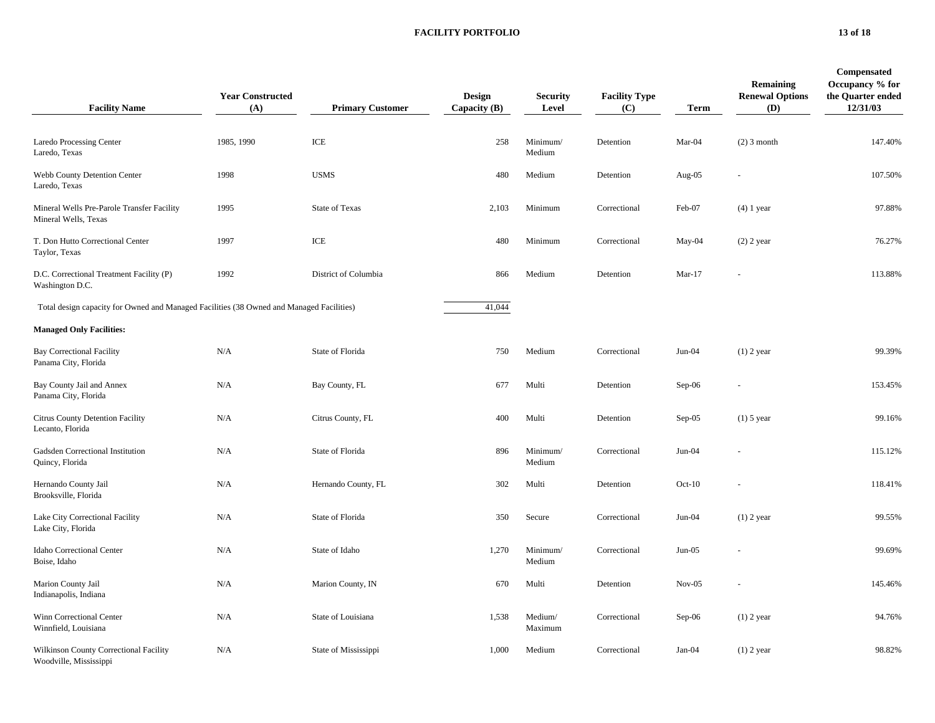#### **FACILITY PORTFOLIO 13 of 18**

| <b>Facility Name</b>                                                                     | <b>Year Constructed</b><br>(A) | <b>Primary Customer</b> | Design<br>Capacity (B) | <b>Security</b><br>Level | <b>Facility Type</b><br>(C) | <b>Term</b> | <b>Remaining</b><br><b>Renewal Options</b><br>(D) | Compensated<br>Occupancy % for<br>the Quarter ended<br>12/31/03 |
|------------------------------------------------------------------------------------------|--------------------------------|-------------------------|------------------------|--------------------------|-----------------------------|-------------|---------------------------------------------------|-----------------------------------------------------------------|
| Laredo Processing Center<br>Laredo, Texas                                                | 1985, 1990                     | ICE                     | 258                    | Minimum/<br>Medium       | Detention                   | Mar-04      | $(2)$ 3 month                                     | 147.40%                                                         |
| Webb County Detention Center<br>Laredo, Texas                                            | 1998                           | <b>USMS</b>             | 480                    | Medium                   | Detention                   | Aug-05      |                                                   | 107.50%                                                         |
| Mineral Wells Pre-Parole Transfer Facility<br>Mineral Wells, Texas                       | 1995                           | <b>State of Texas</b>   | 2,103                  | Minimum                  | Correctional                | Feb-07      | $(4)$ 1 year                                      | 97.88%                                                          |
| T. Don Hutto Correctional Center<br>Taylor, Texas                                        | 1997                           | ICE                     | 480                    | Minimum                  | Correctional                | May-04      | $(2)$ 2 year                                      | 76.27%                                                          |
| D.C. Correctional Treatment Facility (P)<br>Washington D.C.                              | 1992                           | District of Columbia    | 866                    | Medium                   | Detention                   | $Mar-17$    |                                                   | 113.88%                                                         |
| Total design capacity for Owned and Managed Facilities (38 Owned and Managed Facilities) |                                |                         | 41,044                 |                          |                             |             |                                                   |                                                                 |
| <b>Managed Only Facilities:</b>                                                          |                                |                         |                        |                          |                             |             |                                                   |                                                                 |
| <b>Bay Correctional Facility</b><br>Panama City, Florida                                 | N/A                            | State of Florida        | 750                    | Medium                   | Correctional                | Jun-04      | $(1)$ 2 year                                      | 99.39%                                                          |
| Bay County Jail and Annex<br>Panama City, Florida                                        | N/A                            | Bay County, FL          | 677                    | Multi                    | Detention                   | Sep-06      |                                                   | 153.45%                                                         |
| Citrus County Detention Facility<br>Lecanto, Florida                                     | N/A                            | Citrus County, FL       | 400                    | Multi                    | Detention                   | $Sep-05$    | $(1)$ 5 year                                      | 99.16%                                                          |
| Gadsden Correctional Institution<br>Quincy, Florida                                      | N/A                            | State of Florida        | 896                    | Minimum/<br>Medium       | Correctional                | $Jun-04$    |                                                   | 115.12%                                                         |
| Hernando County Jail<br>Brooksville, Florida                                             | N/A                            | Hernando County, FL     | 302                    | Multi                    | Detention                   | $Oct-10$    |                                                   | 118.41%                                                         |
| Lake City Correctional Facility<br>Lake City, Florida                                    | N/A                            | State of Florida        | 350                    | Secure                   | Correctional                | $Jun-04$    | $(1)$ 2 year                                      | 99.55%                                                          |
| Idaho Correctional Center<br>Boise, Idaho                                                | N/A                            | State of Idaho          | 1,270                  | Minimum/<br>Medium       | Correctional                | $Jun-05$    |                                                   | 99.69%                                                          |
| Marion County Jail<br>Indianapolis, Indiana                                              | N/A                            | Marion County, IN       | 670                    | Multi                    | Detention                   | $Nov-05$    |                                                   | 145.46%                                                         |
| Winn Correctional Center<br>Winnfield, Louisiana                                         | N/A                            | State of Louisiana      | 1,538                  | Medium/<br>Maximum       | Correctional                | $Sep-06$    | $(1)$ 2 year                                      | 94.76%                                                          |
| Wilkinson County Correctional Facility<br>Woodville, Mississippi                         | N/A                            | State of Mississippi    | 1,000                  | Medium                   | Correctional                | $Jan-04$    | $(1)$ 2 year                                      | 98.82%                                                          |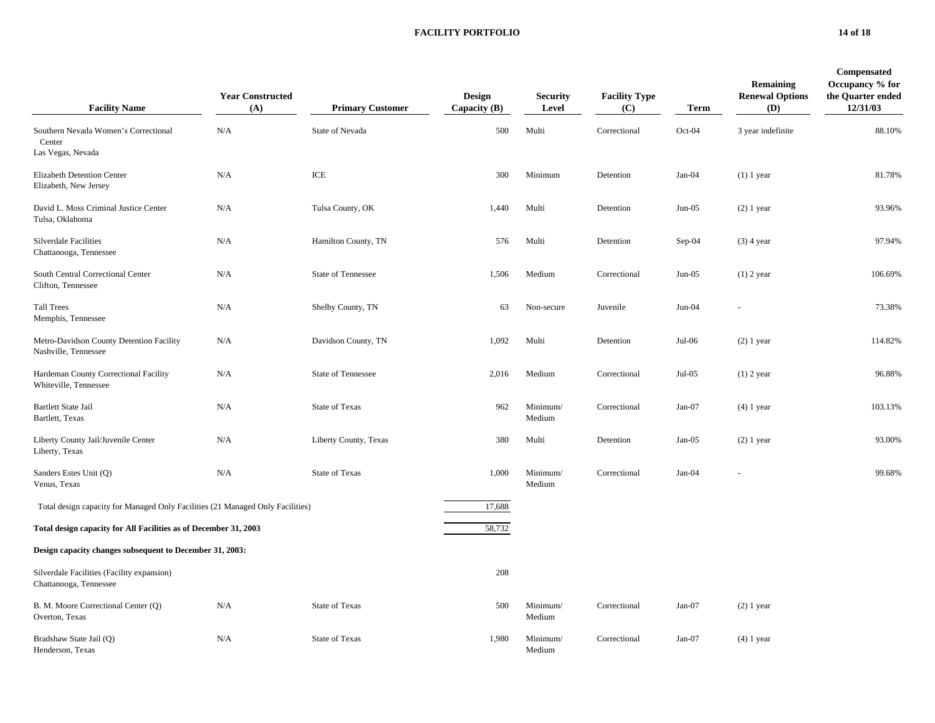#### **FACILITY PORTFOLIO 14 of 18**

| <b>Facility Name</b>                                                           | <b>Year Constructed</b><br>(A) | <b>Primary Customer</b>   | Design<br>Capacity $(B)$ | <b>Security</b><br>Level | <b>Facility Type</b><br>(C) | Term     | Remaining<br><b>Renewal Options</b><br>(D) | Compensated<br>Occupancy % for<br>the Quarter ended<br>12/31/03 |
|--------------------------------------------------------------------------------|--------------------------------|---------------------------|--------------------------|--------------------------|-----------------------------|----------|--------------------------------------------|-----------------------------------------------------------------|
| Southern Nevada Women's Correctional<br>Center<br>Las Vegas, Nevada            | N/A                            | State of Nevada           | 500                      | Multi                    | Correctional                | Oct-04   | 3 year indefinite                          | 88.10%                                                          |
| <b>Elizabeth Detention Center</b><br>Elizabeth, New Jersey                     | N/A                            | ICE                       | 300                      | Minimum                  | Detention                   | $Jan-04$ | $(1)$ 1 year                               | 81.78%                                                          |
| David L. Moss Criminal Justice Center<br>Tulsa, Oklahoma                       | N/A                            | Tulsa County, OK          | 1,440                    | Multi                    | Detention                   | $Jun-05$ | $(2)$ 1 year                               | 93.96%                                                          |
| <b>Silverdale Facilities</b><br>Chattanooga, Tennessee                         | N/A                            | Hamilton County, TN       | 576                      | Multi                    | Detention                   | $Sep-04$ | $(3)$ 4 year                               | 97.94%                                                          |
| South Central Correctional Center<br>Clifton, Tennessee                        | N/A                            | <b>State of Tennessee</b> | 1,506                    | Medium                   | Correctional                | $Jun-05$ | $(1)$ 2 year                               | 106.69%                                                         |
| <b>Tall Trees</b><br>Memphis, Tennessee                                        | N/A                            | Shelby County, TN         | 63                       | Non-secure               | Juvenile                    | $Jun-04$ |                                            | 73.38%                                                          |
| Metro-Davidson County Detention Facility<br>Nashville, Tennessee               | N/A                            | Davidson County, TN       | 1,092                    | Multi                    | Detention                   | Jul-06   | $(2)$ 1 year                               | 114.82%                                                         |
| Hardeman County Correctional Facility<br>Whiteville, Tennessee                 | N/A                            | <b>State of Tennessee</b> | 2,016                    | Medium                   | Correctional                | $Jul-05$ | $(1)$ 2 year                               | 96.88%                                                          |
| <b>Bartlett State Jail</b><br>Bartlett, Texas                                  | N/A                            | State of Texas            | 962                      | Minimum/<br>Medium       | Correctional                | $Jan-07$ | $(4)$ 1 year                               | 103.13%                                                         |
| Liberty County Jail/Juvenile Center<br>Liberty, Texas                          | N/A                            | Liberty County, Texas     | 380                      | Multi                    | Detention                   | Jan-05   | $(2)$ 1 year                               | 93.00%                                                          |
| Sanders Estes Unit (Q)<br>Venus, Texas                                         | N/A                            | State of Texas            | 1,000                    | Minimum/<br>Medium       | Correctional                | $Jan-04$ |                                            | 99.68%                                                          |
| Total design capacity for Managed Only Facilities (21 Managed Only Facilities) |                                |                           | 17,688                   |                          |                             |          |                                            |                                                                 |
| Total design capacity for All Facilities as of December 31, 2003               |                                |                           | 58,732                   |                          |                             |          |                                            |                                                                 |
| Design capacity changes subsequent to December 31, 2003:                       |                                |                           |                          |                          |                             |          |                                            |                                                                 |
| Silverdale Facilities (Facility expansion)<br>Chattanooga, Tennessee           |                                |                           | 208                      |                          |                             |          |                                            |                                                                 |
| B. M. Moore Correctional Center (Q)<br>Overton, Texas                          | N/A                            | <b>State of Texas</b>     | 500                      | Minimum/<br>Medium       | Correctional                | $Jan-07$ | $(2)$ 1 year                               |                                                                 |
| Bradshaw State Jail (Q)<br>Henderson, Texas                                    | N/A                            | <b>State of Texas</b>     | 1,980                    | Minimum/<br>Medium       | Correctional                | $Jan-07$ | $(4)$ 1 year                               |                                                                 |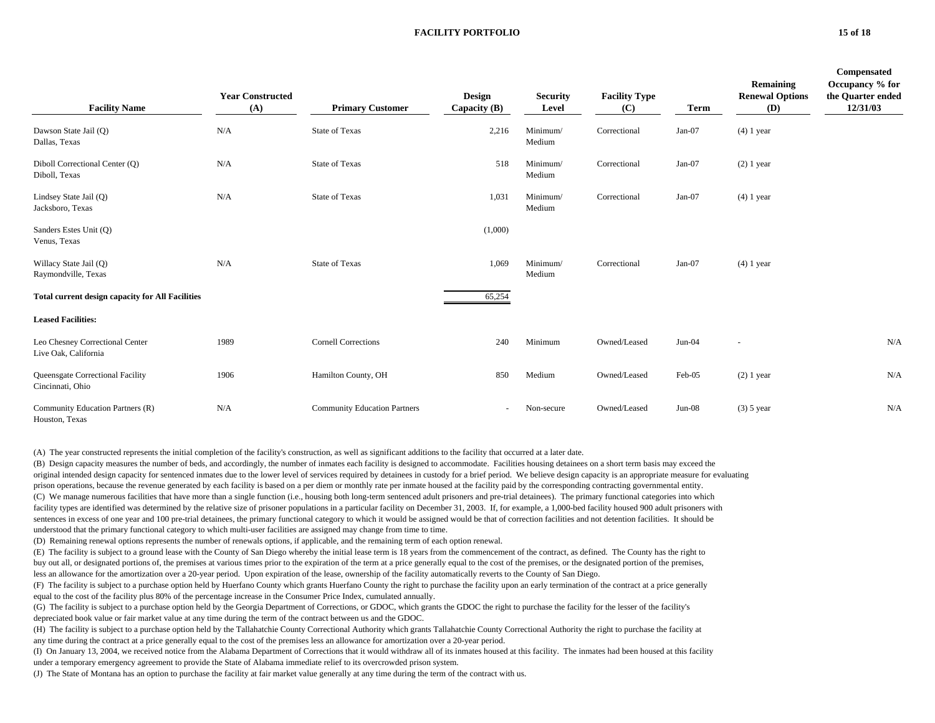#### **FACILITY PORTFOLIO 15 of 18**

| <b>Facility Name</b>                                    | <b>Year Constructed</b><br>(A) | <b>Primary Customer</b>             | <b>Design</b><br>Capacity $(B)$ | <b>Security</b><br>Level | <b>Facility Type</b><br>(C) | Term     | Remaining<br><b>Renewal Options</b><br>(D) | Compensated<br>Occupancy % for<br>the Quarter ended<br>12/31/03 |
|---------------------------------------------------------|--------------------------------|-------------------------------------|---------------------------------|--------------------------|-----------------------------|----------|--------------------------------------------|-----------------------------------------------------------------|
| Dawson State Jail (Q)<br>Dallas, Texas                  | N/A                            | <b>State of Texas</b>               | 2,216                           | Minimum/<br>Medium       | Correctional                | $Jan-07$ | $(4)$ 1 year                               |                                                                 |
| Diboll Correctional Center (Q)<br>Diboll, Texas         | N/A                            | <b>State of Texas</b>               | 518                             | Minimum/<br>Medium       | Correctional                | Jan-07   | $(2)$ 1 year                               |                                                                 |
| Lindsey State Jail (Q)<br>Jacksboro, Texas              | N/A                            | <b>State of Texas</b>               | 1,031                           | Minimum/<br>Medium       | Correctional                | Jan-07   | $(4)$ 1 year                               |                                                                 |
| Sanders Estes Unit (Q)<br>Venus, Texas                  |                                |                                     | (1,000)                         |                          |                             |          |                                            |                                                                 |
| Willacy State Jail (Q)<br>Raymondville, Texas           | N/A                            | <b>State of Texas</b>               | 1,069                           | Minimum/<br>Medium       | Correctional                | $Jan-07$ | $(4)$ 1 year                               |                                                                 |
| <b>Total current design capacity for All Facilities</b> |                                |                                     | 65,254                          |                          |                             |          |                                            |                                                                 |
| <b>Leased Facilities:</b>                               |                                |                                     |                                 |                          |                             |          |                                            |                                                                 |
| Leo Chesney Correctional Center<br>Live Oak, California | 1989                           | <b>Cornell Corrections</b>          | 240                             | Minimum                  | Owned/Leased                | Jun-04   | $\overline{\phantom{a}}$                   | N/A                                                             |
| Queensgate Correctional Facility<br>Cincinnati, Ohio    | 1906                           | Hamilton County, OH                 | 850                             | Medium                   | Owned/Leased                | Feb-05   | $(2)$ 1 year                               | N/A                                                             |
| Community Education Partners (R)<br>Houston, Texas      | N/A                            | <b>Community Education Partners</b> | $\overline{\phantom{a}}$        | Non-secure               | Owned/Leased                | $Jun-08$ | $(3)$ 5 year                               | N/A                                                             |

(A) The year constructed represents the initial completion of the facility's construction, as well as significant additions to the facility that occurred at a later date.

(B) Design capacity measures the number of beds, and accordingly, the number of inmates each facility is designed to accommodate. Facilities housing detainees on a short term basis may exceed the original intended design capacity for sentenced inmates due to the lower level of services required by detainees in custody for a brief period. We believe design capacity is an appropriate measure for evaluating prison operations, because the revenue generated by each facility is based on a per diem or monthly rate per inmate housed at the facility paid by the corresponding contracting governmental entity. (C) We manage numerous facilities that have more than a single function (i.e., housing both long-term sentenced adult prisoners and pre-trial detainees). The primary functional categories into which facility types are identified was determined by the relative size of prisoner populations in a particular facility on December 31, 2003. If, for example, a 1,000-bed facility housed 900 adult prisoners with sentences in excess of one year and 100 pre-trial detainees, the primary functional category to which it would be assigned would be that of correction facilities and not detention facilities. It should be understood that the primary functional category to which multi-user facilities are assigned may change from time to time.

(D) Remaining renewal options represents the number of renewals options, if applicable, and the remaining term of each option renewal.

(E) The facility is subject to a ground lease with the County of San Diego whereby the initial lease term is 18 years from the commencement of the contract, as defined. The County has the right to buy out all, or designated portions of, the premises at various times prior to the expiration of the term at a price generally equal to the cost of the premises, or the designated portion of the premises,

less an allowance for the amortization over a 20-year period. Upon expiration of the lease, ownership of the facility automatically reverts to the County of San Diego.

(F) The facility is subject to a purchase option held by Huerfano County which grants Huerfano County the right to purchase the facility upon an early termination of the contract at a price generally equal to the cost of the facility plus 80% of the percentage increase in the Consumer Price Index, cumulated annually.

(G) The facility is subject to a purchase option held by the Georgia Department of Corrections, or GDOC, which grants the GDOC the right to purchase the facility for the lesser of the facility's depreciated book value or fair market value at any time during the term of the contract between us and the GDOC.

(H) The facility is subject to a purchase option held by the Tallahatchie County Correctional Authority which grants Tallahatchie County Correctional Authority the right to purchase the facility at any time during the contract at a price generally equal to the cost of the premises less an allowance for amortization over a 20-year period.

(I) On January 13, 2004, we received notice from the Alabama Department of Corrections that it would withdraw all of its inmates housed at this facility. The inmates had been housed at this facility under a temporary emergency agreement to provide the State of Alabama immediate relief to its overcrowded prison system.

(J) The State of Montana has an option to purchase the facility at fair market value generally at any time during the term of the contract with us.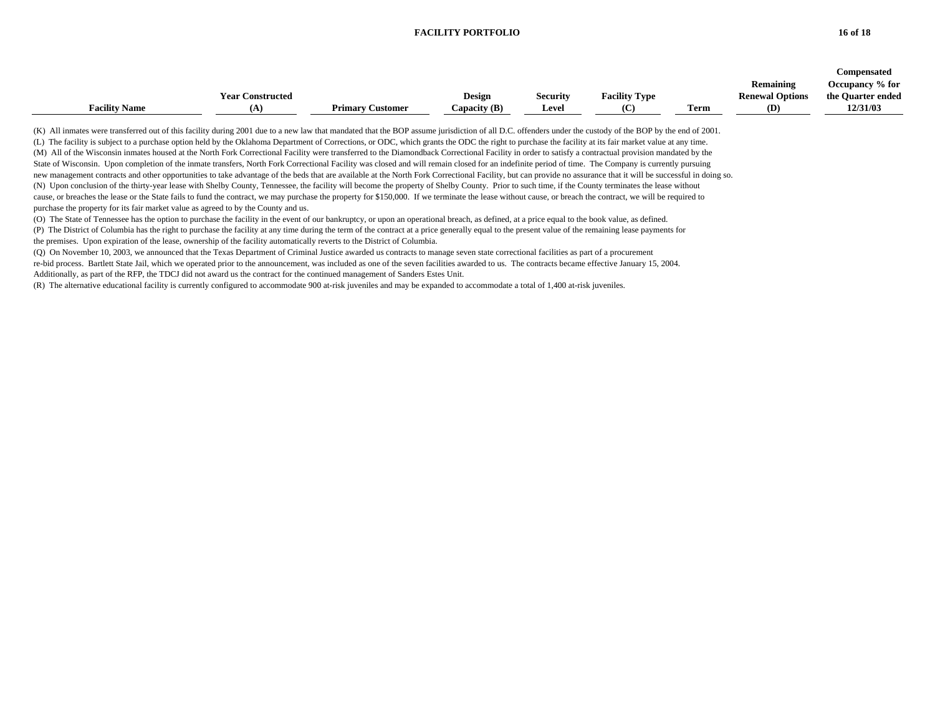#### **FACILITY PORTFOLIO 16 of 18**

|                                                                                                                                                                                                                                                                                                                                                                                                                                                                                                                                                                                                                                                                                                                                                                                                                                                                                                                                                                                                                                                                                                                                                                                                                                                                                                                                                                                                                                                                                                                                                                                                                                                                                                                                                                                                                                                                                                                                                                                                                                                                                                                                                                                                                                                                                        | <b>Year Constructed</b> |                         | <b>Design</b>  | <b>Security</b> | <b>Facility Type</b> |      | Remaining<br><b>Renewal Options</b> | <b>Compensated</b><br>Occupancy % for<br>the Quarter ended |
|----------------------------------------------------------------------------------------------------------------------------------------------------------------------------------------------------------------------------------------------------------------------------------------------------------------------------------------------------------------------------------------------------------------------------------------------------------------------------------------------------------------------------------------------------------------------------------------------------------------------------------------------------------------------------------------------------------------------------------------------------------------------------------------------------------------------------------------------------------------------------------------------------------------------------------------------------------------------------------------------------------------------------------------------------------------------------------------------------------------------------------------------------------------------------------------------------------------------------------------------------------------------------------------------------------------------------------------------------------------------------------------------------------------------------------------------------------------------------------------------------------------------------------------------------------------------------------------------------------------------------------------------------------------------------------------------------------------------------------------------------------------------------------------------------------------------------------------------------------------------------------------------------------------------------------------------------------------------------------------------------------------------------------------------------------------------------------------------------------------------------------------------------------------------------------------------------------------------------------------------------------------------------------------|-------------------------|-------------------------|----------------|-----------------|----------------------|------|-------------------------------------|------------------------------------------------------------|
| <b>Facility Name</b>                                                                                                                                                                                                                                                                                                                                                                                                                                                                                                                                                                                                                                                                                                                                                                                                                                                                                                                                                                                                                                                                                                                                                                                                                                                                                                                                                                                                                                                                                                                                                                                                                                                                                                                                                                                                                                                                                                                                                                                                                                                                                                                                                                                                                                                                   | (A)                     | <b>Primary Customer</b> | Capacity $(B)$ | Level           | (C)                  | Term | (D)                                 | 12/31/03                                                   |
| (K) All inmates were transferred out of this facility during 2001 due to a new law that mandated that the BOP assume jurisdiction of all D.C. offenders under the custody of the BOP by the end of 2001.<br>(L) The facility is subject to a purchase option held by the Oklahoma Department of Corrections, or ODC, which grants the ODC the right to purchase the facility at its fair market value at any time.<br>(M) All of the Wisconsin inmates housed at the North Fork Correctional Facility were transferred to the Diamondback Correctional Facility in order to satisfy a contractual provision mandated by the<br>State of Wisconsin. Upon completion of the inmate transfers, North Fork Correctional Facility was closed and will remain closed for an indefinite period of time. The Company is currently pursuing<br>new management contracts and other opportunities to take advantage of the beds that are available at the North Fork Correctional Facility, but can provide no assurance that it will be successful in doing so.<br>(N) Upon conclusion of the thirty-year lease with Shelby County, Tennessee, the facility will become the property of Shelby County. Prior to such time, if the County terminates the lease without<br>cause, or breaches the lease or the State fails to fund the contract, we may purchase the property for \$150,000. If we terminate the lease without cause, or breach the contract, we will be required to<br>purchase the property for its fair market value as agreed to by the County and us.<br>(O) The State of Tennessee has the option to purchase the facility in the event of our bankruptcy, or upon an operational breach, as defined, at a price equal to the book value, as defined.<br>(P) The District of Columbia has the right to purchase the facility at any time during the term of the contract at a price generally equal to the present value of the remaining lease payments for<br>the premises. Upon expiration of the lease, ownership of the facility automatically reverts to the District of Columbia.<br>(Q) On November 10, 2003, we announced that the Texas Department of Criminal Justice awarded us contracts to manage seven state correctional facilities as part of a procurement |                         |                         |                |                 |                      |      |                                     |                                                            |

Additionally, as part of the RFP, the TDCJ did not award us the contract for the continued management of Sanders Estes Unit.

(R) The alternative educational facility is currently configured to accommodate 900 at-risk juveniles and may be expanded to accommodate a total of 1,400 at-risk juveniles.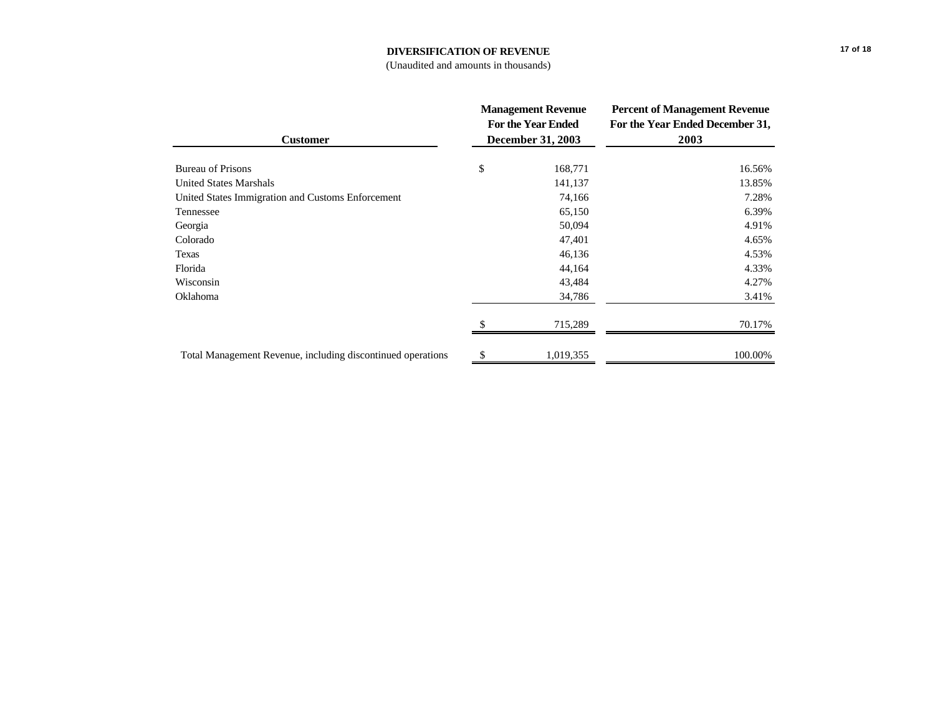# **DIVERSIFICATION OF REVENUE**

#### (Unaudited and amounts in thousands)

| <b>Customer</b>                                             | <b>Management Revenue</b><br><b>For the Year Ended</b><br><b>December 31, 2003</b> |           | <b>Percent of Management Revenue</b><br>For the Year Ended December 31,<br>2003 |  |
|-------------------------------------------------------------|------------------------------------------------------------------------------------|-----------|---------------------------------------------------------------------------------|--|
| <b>Bureau of Prisons</b>                                    | \$                                                                                 | 168,771   | 16.56%                                                                          |  |
| <b>United States Marshals</b>                               |                                                                                    | 141,137   | 13.85%                                                                          |  |
| United States Immigration and Customs Enforcement           |                                                                                    | 74,166    | 7.28%                                                                           |  |
| Tennessee                                                   |                                                                                    | 65,150    | 6.39%                                                                           |  |
| Georgia                                                     |                                                                                    | 50,094    | 4.91%                                                                           |  |
| Colorado                                                    |                                                                                    | 47,401    | 4.65%                                                                           |  |
| Texas                                                       |                                                                                    | 46,136    | 4.53%                                                                           |  |
| Florida                                                     |                                                                                    | 44,164    | 4.33%                                                                           |  |
| Wisconsin                                                   |                                                                                    | 43,484    | 4.27%                                                                           |  |
| Oklahoma                                                    |                                                                                    | 34,786    | 3.41%                                                                           |  |
|                                                             |                                                                                    | 715,289   | 70.17%                                                                          |  |
| Total Management Revenue, including discontinued operations | \$                                                                                 | 1,019,355 | 100.00%                                                                         |  |